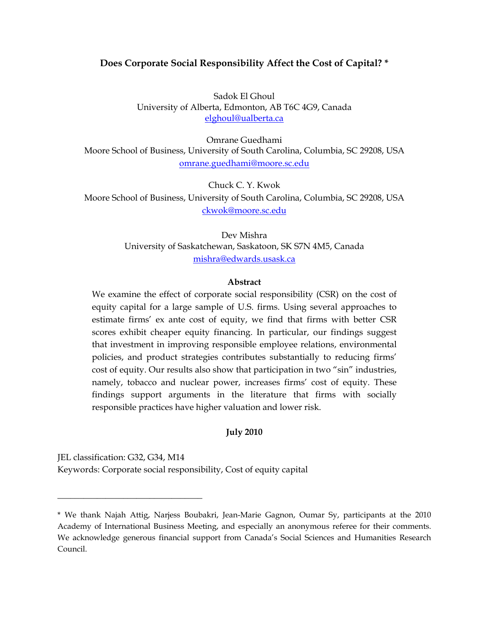# **Does Corporate Social Responsibility Affect the Cost of Capital? \***

Sadok El Ghoul University of Alberta, Edmonton, AB T6C 4G9, Canada elghoul@ualberta.ca

Omrane Guedhami Moore School of Business, University of South Carolina, Columbia, SC 29208, USA omrane.guedhami@moore.sc.edu

Chuck C. Y. Kwok Moore School of Business, University of South Carolina, Columbia, SC 29208, USA ckwok@moore.sc.edu

> Dev Mishra University of Saskatchewan, Saskatoon, SK S7N 4M5, Canada mishra@edwards.usask.ca

## **Abstract**

We examine the effect of corporate social responsibility (CSR) on the cost of equity capital for a large sample of U.S. firms. Using several approaches to estimate firms' ex ante cost of equity, we find that firms with better CSR scores exhibit cheaper equity financing. In particular, our findings suggest that investment in improving responsible employee relations, environmental policies, and product strategies contributes substantially to reducing firms' cost of equity. Our results also show that participation in two "sin" industries, namely, tobacco and nuclear power, increases firms' cost of equity. These findings support arguments in the literature that firms with socially responsible practices have higher valuation and lower risk.

# **July 2010**

JEL classification: G32, G34, M14 Keywords: Corporate social responsibility, Cost of equity capital

\_\_\_\_\_\_\_\_\_\_\_\_\_\_\_\_\_\_\_\_\_\_\_\_\_\_\_\_\_\_\_\_\_

<sup>\*</sup> We thank Najah Attig, Narjess Boubakri, Jean-Marie Gagnon, Oumar Sy, participants at the 2010 Academy of International Business Meeting, and especially an anonymous referee for their comments. We acknowledge generous financial support from Canada's Social Sciences and Humanities Research Council.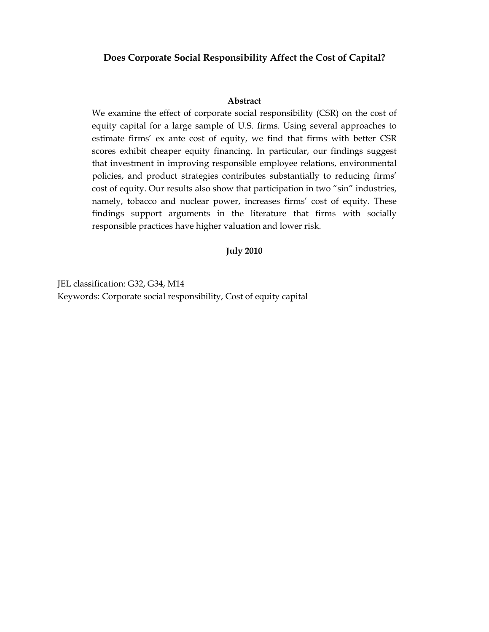# **Does Corporate Social Responsibility Affect the Cost of Capital?**

#### **Abstract**

We examine the effect of corporate social responsibility (CSR) on the cost of equity capital for a large sample of U.S. firms. Using several approaches to estimate firms' ex ante cost of equity, we find that firms with better CSR scores exhibit cheaper equity financing. In particular, our findings suggest that investment in improving responsible employee relations, environmental policies, and product strategies contributes substantially to reducing firms' cost of equity. Our results also show that participation in two "sin" industries, namely, tobacco and nuclear power, increases firms' cost of equity. These findings support arguments in the literature that firms with socially responsible practices have higher valuation and lower risk.

## **July 2010**

JEL classification: G32, G34, M14 Keywords: Corporate social responsibility, Cost of equity capital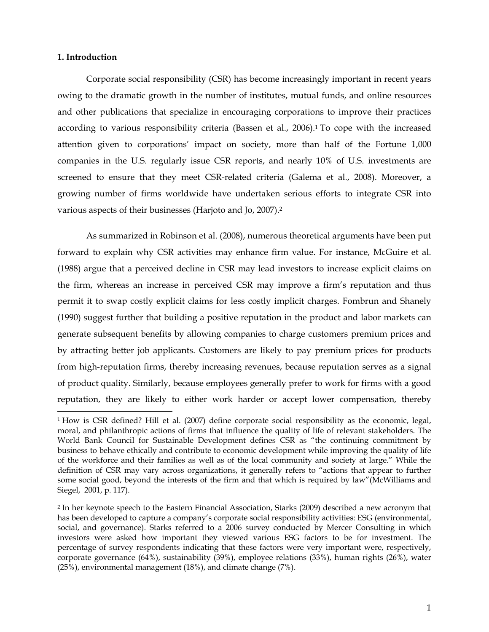## **1. Introduction**

Corporate social responsibility (CSR) has become increasingly important in recent years owing to the dramatic growth in the number of institutes, mutual funds, and online resources and other publications that specialize in encouraging corporations to improve their practices according to various responsibility criteria (Bassen et al., 2006).1 To cope with the increased attention given to corporations' impact on society, more than half of the Fortune 1,000 companies in the U.S. regularly issue CSR reports, and nearly 10% of U.S. investments are screened to ensure that they meet CSR-related criteria (Galema et al., 2008). Moreover, a growing number of firms worldwide have undertaken serious efforts to integrate CSR into various aspects of their businesses (Harjoto and Jo, 2007).2

As summarized in Robinson et al. (2008), numerous theoretical arguments have been put forward to explain why CSR activities may enhance firm value. For instance, McGuire et al. (1988) argue that a perceived decline in CSR may lead investors to increase explicit claims on the firm, whereas an increase in perceived CSR may improve a firm's reputation and thus permit it to swap costly explicit claims for less costly implicit charges. Fombrun and Shanely (1990) suggest further that building a positive reputation in the product and labor markets can generate subsequent benefits by allowing companies to charge customers premium prices and by attracting better job applicants. Customers are likely to pay premium prices for products from high-reputation firms, thereby increasing revenues, because reputation serves as a signal of product quality. Similarly, because employees generally prefer to work for firms with a good reputation, they are likely to either work harder or accept lower compensation, thereby

<sup>1</sup> How is CSR defined? Hill et al. (2007) define corporate social responsibility as the economic, legal, moral, and philanthropic actions of firms that influence the quality of life of relevant stakeholders. The World Bank Council for Sustainable Development defines CSR as "the continuing commitment by business to behave ethically and contribute to economic development while improving the quality of life of the workforce and their families as well as of the local community and society at large." While the definition of CSR may vary across organizations, it generally refers to "actions that appear to further some social good, beyond the interests of the firm and that which is required by law"(McWilliams and Siegel, 2001, p. 117).

<sup>2</sup> In her keynote speech to the Eastern Financial Association, Starks (2009) described a new acronym that has been developed to capture a company's corporate social responsibility activities: ESG (environmental, social, and governance). Starks referred to a 2006 survey conducted by Mercer Consulting in which investors were asked how important they viewed various ESG factors to be for investment. The percentage of survey respondents indicating that these factors were very important were, respectively, corporate governance (64%), sustainability (39%), employee relations (33%), human rights (26%), water (25%), environmental management (18%), and climate change (7%).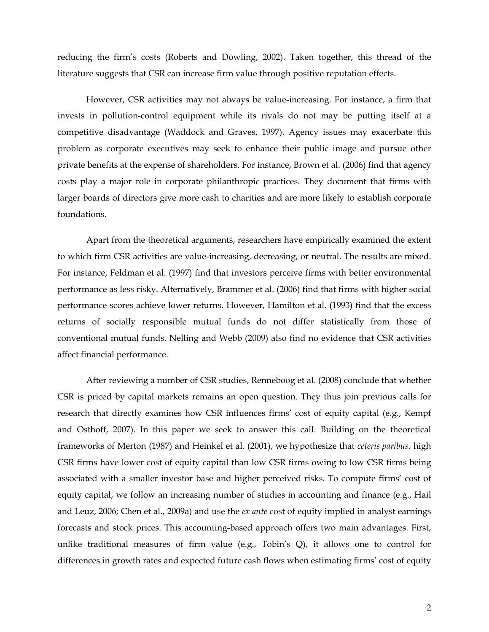reducing the firm's costs (Roberts and Dowling, 2002). Taken together, this thread of the literature suggests that CSR can increase firm value through positive reputation effects.

However, CSR activities may not always be value-increasing. For instance, a firm that invests in pollution-control equipment while its rivals do not may be putting itself at a competitive disadvantage (Waddock and Graves, 1997). Agency issues may exacerbate this problem as corporate executives may seek to enhance their public image and pursue other private benefits at the expense of shareholders. For instance, Brown et al. (2006) find that agency costs play a major role in corporate philanthropic practices. They document that firms with larger boards of directors give more cash to charities and are more likely to establish corporate foundations.

Apart from the theoretical arguments, researchers have empirically examined the extent to which firm CSR activities are value-increasing, decreasing, or neutral. The results are mixed. For instance, Feldman et al. (1997) find that investors perceive firms with better environmental performance as less risky. Alternatively, Brammer et al. (2006) find that firms with higher social performance scores achieve lower returns. However, Hamilton et al. (1993) find that the excess returns of socially responsible mutual funds do not differ statistically from those of conventional mutual funds. Nelling and Webb (2009) also find no evidence that CSR activities affect financial performance.

After reviewing a number of CSR studies, Renneboog et al. (2008) conclude that whether CSR is priced by capital markets remains an open question. They thus join previous calls for research that directly examines how CSR influences firms' cost of equity capital (e.g., Kempf and Osthoff, 2007). In this paper we seek to answer this call. Building on the theoretical frameworks of Merton (1987) and Heinkel et al. (2001), we hypothesize that *ceteris paribus*, high CSR firms have lower cost of equity capital than low CSR firms owing to low CSR firms being associated with a smaller investor base and higher perceived risks. To compute firms' cost of equity capital, we follow an increasing number of studies in accounting and finance (e.g., Hail and Leuz, 2006; Chen et al., 2009a) and use the *ex ante* cost of equity implied in analyst earnings forecasts and stock prices. This accounting-based approach offers two main advantages. First, unlike traditional measures of firm value (e.g., Tobin's Q), it allows one to control for differences in growth rates and expected future cash flows when estimating firms' cost of equity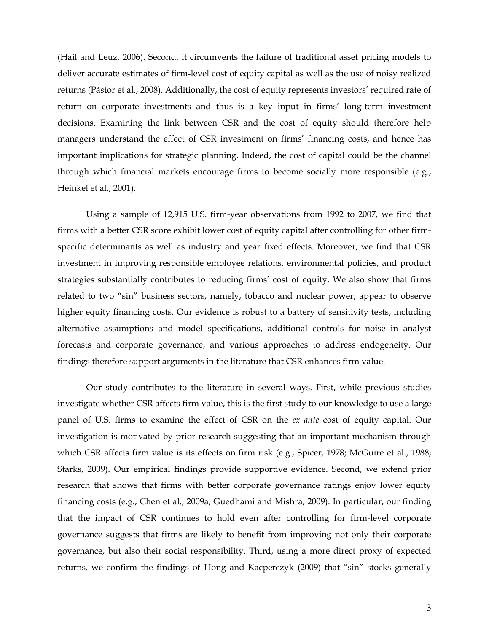(Hail and Leuz, 2006). Second, it circumvents the failure of traditional asset pricing models to deliver accurate estimates of firm-level cost of equity capital as well as the use of noisy realized returns (Pástor et al., 2008). Additionally, the cost of equity represents investors' required rate of return on corporate investments and thus is a key input in firms' long-term investment decisions. Examining the link between CSR and the cost of equity should therefore help managers understand the effect of CSR investment on firms' financing costs, and hence has important implications for strategic planning. Indeed, the cost of capital could be the channel through which financial markets encourage firms to become socially more responsible (e.g., Heinkel et al., 2001).

Using a sample of 12,915 U.S. firm-year observations from 1992 to 2007, we find that firms with a better CSR score exhibit lower cost of equity capital after controlling for other firmspecific determinants as well as industry and year fixed effects. Moreover, we find that CSR investment in improving responsible employee relations, environmental policies, and product strategies substantially contributes to reducing firms' cost of equity. We also show that firms related to two "sin" business sectors, namely, tobacco and nuclear power, appear to observe higher equity financing costs. Our evidence is robust to a battery of sensitivity tests, including alternative assumptions and model specifications, additional controls for noise in analyst forecasts and corporate governance, and various approaches to address endogeneity. Our findings therefore support arguments in the literature that CSR enhances firm value.

Our study contributes to the literature in several ways. First, while previous studies investigate whether CSR affects firm value, this is the first study to our knowledge to use a large panel of U.S. firms to examine the effect of CSR on the *ex ante* cost of equity capital. Our investigation is motivated by prior research suggesting that an important mechanism through which CSR affects firm value is its effects on firm risk (e.g., Spicer, 1978; McGuire et al., 1988; Starks, 2009). Our empirical findings provide supportive evidence. Second, we extend prior research that shows that firms with better corporate governance ratings enjoy lower equity financing costs (e.g., Chen et al., 2009a; Guedhami and Mishra, 2009). In particular, our finding that the impact of CSR continues to hold even after controlling for firm-level corporate governance suggests that firms are likely to benefit from improving not only their corporate governance, but also their social responsibility. Third, using a more direct proxy of expected returns, we confirm the findings of Hong and Kacperczyk (2009) that "sin" stocks generally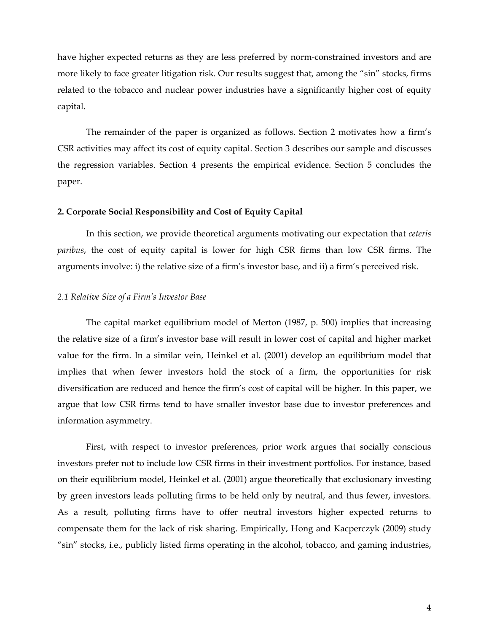have higher expected returns as they are less preferred by norm-constrained investors and are more likely to face greater litigation risk. Our results suggest that, among the "sin" stocks, firms related to the tobacco and nuclear power industries have a significantly higher cost of equity capital.

The remainder of the paper is organized as follows. Section 2 motivates how a firm's CSR activities may affect its cost of equity capital. Section 3 describes our sample and discusses the regression variables. Section 4 presents the empirical evidence. Section 5 concludes the paper.

#### **2. Corporate Social Responsibility and Cost of Equity Capital**

In this section, we provide theoretical arguments motivating our expectation that *ceteris paribus*, the cost of equity capital is lower for high CSR firms than low CSR firms. The arguments involve: i) the relative size of a firm's investor base, and ii) a firm's perceived risk.

#### *2.1 Relative Size of a Firm's Investor Base*

The capital market equilibrium model of Merton (1987, p. 500) implies that increasing the relative size of a firm's investor base will result in lower cost of capital and higher market value for the firm. In a similar vein, Heinkel et al. (2001) develop an equilibrium model that implies that when fewer investors hold the stock of a firm, the opportunities for risk diversification are reduced and hence the firm's cost of capital will be higher. In this paper, we argue that low CSR firms tend to have smaller investor base due to investor preferences and information asymmetry.

First, with respect to investor preferences, prior work argues that socially conscious investors prefer not to include low CSR firms in their investment portfolios. For instance, based on their equilibrium model, Heinkel et al. (2001) argue theoretically that exclusionary investing by green investors leads polluting firms to be held only by neutral, and thus fewer, investors. As a result, polluting firms have to offer neutral investors higher expected returns to compensate them for the lack of risk sharing. Empirically, Hong and Kacperczyk (2009) study "sin" stocks, i.e., publicly listed firms operating in the alcohol, tobacco, and gaming industries,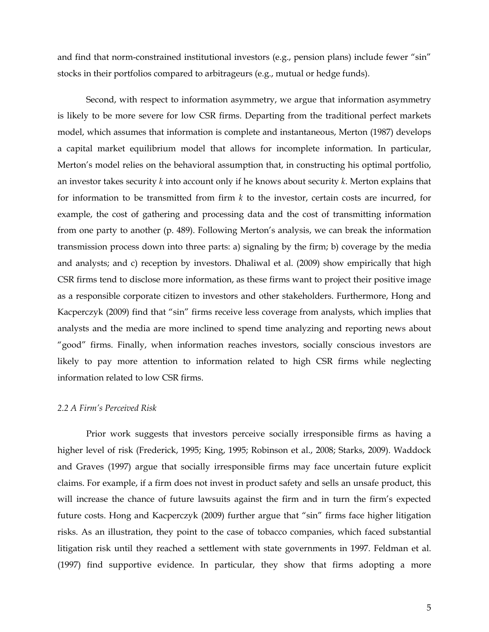and find that norm-constrained institutional investors (e.g., pension plans) include fewer "sin" stocks in their portfolios compared to arbitrageurs (e.g., mutual or hedge funds).

Second, with respect to information asymmetry, we argue that information asymmetry is likely to be more severe for low CSR firms. Departing from the traditional perfect markets model, which assumes that information is complete and instantaneous, Merton (1987) develops a capital market equilibrium model that allows for incomplete information. In particular, Merton's model relies on the behavioral assumption that, in constructing his optimal portfolio, an investor takes security *k* into account only if he knows about security *k*. Merton explains that for information to be transmitted from firm *k* to the investor, certain costs are incurred, for example, the cost of gathering and processing data and the cost of transmitting information from one party to another (p. 489). Following Merton's analysis, we can break the information transmission process down into three parts: a) signaling by the firm; b) coverage by the media and analysts; and c) reception by investors. Dhaliwal et al. (2009) show empirically that high CSR firms tend to disclose more information, as these firms want to project their positive image as a responsible corporate citizen to investors and other stakeholders. Furthermore, Hong and Kacperczyk (2009) find that "sin" firms receive less coverage from analysts, which implies that analysts and the media are more inclined to spend time analyzing and reporting news about "good" firms. Finally, when information reaches investors, socially conscious investors are likely to pay more attention to information related to high CSR firms while neglecting information related to low CSR firms.

#### *2.2 A Firm's Perceived Risk*

Prior work suggests that investors perceive socially irresponsible firms as having a higher level of risk (Frederick, 1995; King, 1995; Robinson et al., 2008; Starks, 2009). Waddock and Graves (1997) argue that socially irresponsible firms may face uncertain future explicit claims. For example, if a firm does not invest in product safety and sells an unsafe product, this will increase the chance of future lawsuits against the firm and in turn the firm's expected future costs. Hong and Kacperczyk (2009) further argue that "sin" firms face higher litigation risks. As an illustration, they point to the case of tobacco companies, which faced substantial litigation risk until they reached a settlement with state governments in 1997. Feldman et al. (1997) find supportive evidence. In particular, they show that firms adopting a more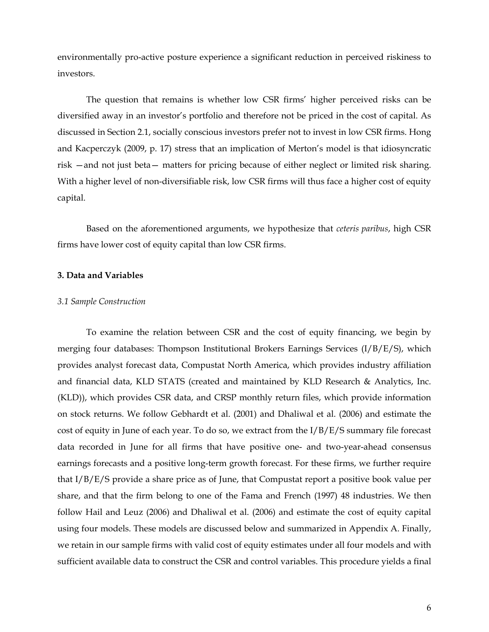environmentally pro-active posture experience a significant reduction in perceived riskiness to investors.

The question that remains is whether low CSR firms' higher perceived risks can be diversified away in an investor's portfolio and therefore not be priced in the cost of capital. As discussed in Section 2.1, socially conscious investors prefer not to invest in low CSR firms. Hong and Kacperczyk (2009, p. 17) stress that an implication of Merton's model is that idiosyncratic risk —and not just beta— matters for pricing because of either neglect or limited risk sharing. With a higher level of non-diversifiable risk, low CSR firms will thus face a higher cost of equity capital.

Based on the aforementioned arguments, we hypothesize that *ceteris paribus*, high CSR firms have lower cost of equity capital than low CSR firms.

#### **3. Data and Variables**

#### *3.1 Sample Construction*

To examine the relation between CSR and the cost of equity financing, we begin by merging four databases: Thompson Institutional Brokers Earnings Services (I/B/E/S), which provides analyst forecast data, Compustat North America, which provides industry affiliation and financial data, KLD STATS (created and maintained by KLD Research & Analytics, Inc. (KLD)), which provides CSR data, and CRSP monthly return files, which provide information on stock returns. We follow Gebhardt et al. (2001) and Dhaliwal et al. (2006) and estimate the cost of equity in June of each year. To do so, we extract from the I/B/E/S summary file forecast data recorded in June for all firms that have positive one- and two-year-ahead consensus earnings forecasts and a positive long-term growth forecast. For these firms, we further require that I/B/E/S provide a share price as of June, that Compustat report a positive book value per share, and that the firm belong to one of the Fama and French (1997) 48 industries. We then follow Hail and Leuz (2006) and Dhaliwal et al. (2006) and estimate the cost of equity capital using four models. These models are discussed below and summarized in Appendix A. Finally, we retain in our sample firms with valid cost of equity estimates under all four models and with sufficient available data to construct the CSR and control variables. This procedure yields a final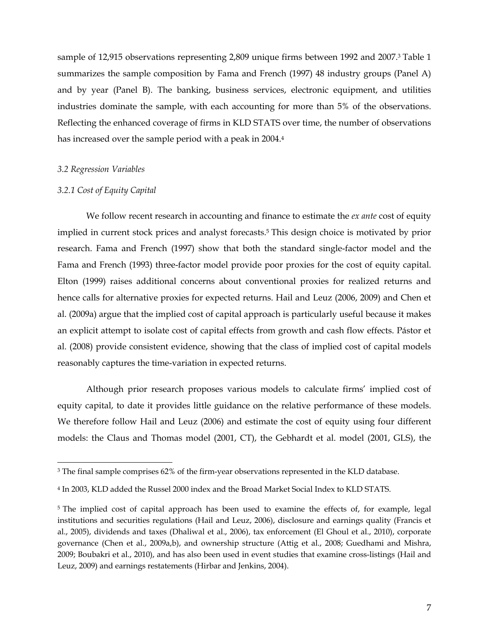sample of 12,915 observations representing 2,809 unique firms between 1992 and 2007.3 Table 1 summarizes the sample composition by Fama and French (1997) 48 industry groups (Panel A) and by year (Panel B). The banking, business services, electronic equipment, and utilities industries dominate the sample, with each accounting for more than 5% of the observations. Reflecting the enhanced coverage of firms in KLD STATS over time, the number of observations has increased over the sample period with a peak in 2004.4

#### *3.2 Regression Variables*

#### *3.2.1 Cost of Equity Capital*

We follow recent research in accounting and finance to estimate the *ex ante* cost of equity implied in current stock prices and analyst forecasts.<sup>5</sup> This design choice is motivated by prior research. Fama and French (1997) show that both the standard single-factor model and the Fama and French (1993) three-factor model provide poor proxies for the cost of equity capital. Elton (1999) raises additional concerns about conventional proxies for realized returns and hence calls for alternative proxies for expected returns. Hail and Leuz (2006, 2009) and Chen et al. (2009a) argue that the implied cost of capital approach is particularly useful because it makes an explicit attempt to isolate cost of capital effects from growth and cash flow effects. Pástor et al. (2008) provide consistent evidence, showing that the class of implied cost of capital models reasonably captures the time-variation in expected returns.

Although prior research proposes various models to calculate firms' implied cost of equity capital, to date it provides little guidance on the relative performance of these models. We therefore follow Hail and Leuz (2006) and estimate the cost of equity using four different models: the Claus and Thomas model (2001, CT), the Gebhardt et al. model (2001, GLS), the

<sup>3</sup> The final sample comprises 62% of the firm-year observations represented in the KLD database.

<sup>4</sup> In 2003, KLD added the Russel 2000 index and the Broad Market Social Index to KLD STATS.

<sup>&</sup>lt;sup>5</sup> The implied cost of capital approach has been used to examine the effects of, for example, legal institutions and securities regulations (Hail and Leuz, 2006), disclosure and earnings quality (Francis et al., 2005), dividends and taxes (Dhaliwal et al., 2006), tax enforcement (El Ghoul et al., 2010), corporate governance (Chen et al., 2009a,b), and ownership structure (Attig et al., 2008; Guedhami and Mishra, 2009; Boubakri et al., 2010), and has also been used in event studies that examine cross-listings (Hail and Leuz, 2009) and earnings restatements (Hirbar and Jenkins, 2004).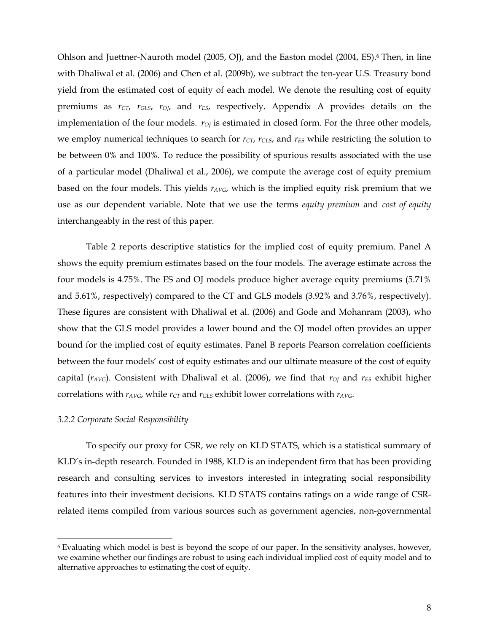Ohlson and Juettner-Nauroth model (2005, OJ), and the Easton model (2004, ES).<sup>6</sup> Then, in line with Dhaliwal et al. (2006) and Chen et al. (2009b), we subtract the ten-year U.S. Treasury bond yield from the estimated cost of equity of each model. We denote the resulting cost of equity premiums as  $r_{CT}$ ,  $r_{GLS}$ ,  $r_{O}$ , and  $r_{ES}$ , respectively. Appendix A provides details on the implementation of the four models.  $r_{O}$  is estimated in closed form. For the three other models, we employ numerical techniques to search for  $r_{CT}$ ,  $r_{GLS}$ , and  $r_{ES}$  while restricting the solution to be between 0% and 100%. To reduce the possibility of spurious results associated with the use of a particular model (Dhaliwal et al., 2006), we compute the average cost of equity premium based on the four models. This yields  $r_{AVG}$ , which is the implied equity risk premium that we use as our dependent variable. Note that we use the terms *equity premium* and *cost of equity* interchangeably in the rest of this paper.

Table 2 reports descriptive statistics for the implied cost of equity premium. Panel A shows the equity premium estimates based on the four models. The average estimate across the four models is 4.75%. The ES and OJ models produce higher average equity premiums (5.71% and 5.61%, respectively) compared to the CT and GLS models (3.92% and 3.76%, respectively). These figures are consistent with Dhaliwal et al. (2006) and Gode and Mohanram (2003), who show that the GLS model provides a lower bound and the OJ model often provides an upper bound for the implied cost of equity estimates. Panel B reports Pearson correlation coefficients between the four models' cost of equity estimates and our ultimate measure of the cost of equity capital ( $r_{AVG}$ ). Consistent with Dhaliwal et al. (2006), we find that  $r_{OI}$  and  $r_{ES}$  exhibit higher correlations with  $r_{AVG}$ , while  $r_{CT}$  and  $r_{GLS}$  exhibit lower correlations with  $r_{AVG}$ .

#### *3.2.2 Corporate Social Responsibility*

To specify our proxy for CSR, we rely on KLD STATS, which is a statistical summary of KLD's in-depth research. Founded in 1988, KLD is an independent firm that has been providing research and consulting services to investors interested in integrating social responsibility features into their investment decisions. KLD STATS contains ratings on a wide range of CSRrelated items compiled from various sources such as government agencies, non-governmental

<sup>6</sup> Evaluating which model is best is beyond the scope of our paper. In the sensitivity analyses, however, we examine whether our findings are robust to using each individual implied cost of equity model and to alternative approaches to estimating the cost of equity.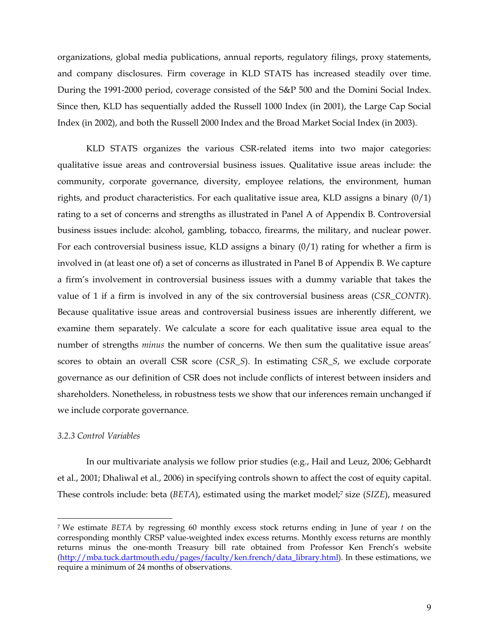organizations, global media publications, annual reports, regulatory filings, proxy statements, and company disclosures. Firm coverage in KLD STATS has increased steadily over time. During the 1991-2000 period, coverage consisted of the S&P 500 and the Domini Social Index. Since then, KLD has sequentially added the Russell 1000 Index (in 2001), the Large Cap Social Index (in 2002), and both the Russell 2000 Index and the Broad Market Social Index (in 2003).

KLD STATS organizes the various CSR-related items into two major categories: qualitative issue areas and controversial business issues. Qualitative issue areas include: the community, corporate governance, diversity, employee relations, the environment, human rights, and product characteristics. For each qualitative issue area, KLD assigns a binary (0/1) rating to a set of concerns and strengths as illustrated in Panel A of Appendix B. Controversial business issues include: alcohol, gambling, tobacco, firearms, the military, and nuclear power. For each controversial business issue, KLD assigns a binary  $(0/1)$  rating for whether a firm is involved in (at least one of) a set of concerns as illustrated in Panel B of Appendix B. We capture a firm's involvement in controversial business issues with a dummy variable that takes the value of 1 if a firm is involved in any of the six controversial business areas (*CSR\_CONTR*). Because qualitative issue areas and controversial business issues are inherently different, we examine them separately. We calculate a score for each qualitative issue area equal to the number of strengths *minus* the number of concerns. We then sum the qualitative issue areas' scores to obtain an overall CSR score (*CSR\_S*). In estimating *CSR\_S*, we exclude corporate governance as our definition of CSR does not include conflicts of interest between insiders and shareholders. Nonetheless, in robustness tests we show that our inferences remain unchanged if we include corporate governance.

### *3.2.3 Control Variables*

In our multivariate analysis we follow prior studies (e.g., Hail and Leuz, 2006; Gebhardt et al., 2001; Dhaliwal et al., 2006) in specifying controls shown to affect the cost of equity capital. These controls include: beta (*BETA*), estimated using the market model;7 size (*SIZE*), measured

<sup>7</sup> We estimate *BETA* by regressing 60 monthly excess stock returns ending in June of year *t* on the corresponding monthly CRSP value-weighted index excess returns. Monthly excess returns are monthly returns minus the one-month Treasury bill rate obtained from Professor Ken French's website (http://mba.tuck.dartmouth.edu/pages/faculty/ken.french/data\_library.html). In these estimations, we require a minimum of 24 months of observations.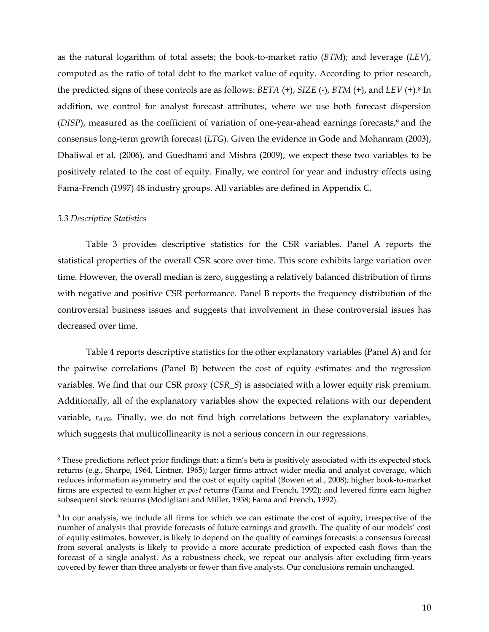as the natural logarithm of total assets; the book-to-market ratio (*BTM*); and leverage (*LEV*), computed as the ratio of total debt to the market value of equity. According to prior research, the predicted signs of these controls are as follows: *BETA* (+), *SIZE* (-), *BTM* (+), and *LEV* (+).8 In addition, we control for analyst forecast attributes, where we use both forecast dispersion (DISP), measured as the coefficient of variation of one-year-ahead earnings forecasts,<sup>9</sup> and the consensus long-term growth forecast (*LTG*). Given the evidence in Gode and Mohanram (2003), Dhaliwal et al. (2006), and Guedhami and Mishra (2009), we expect these two variables to be positively related to the cost of equity. Finally, we control for year and industry effects using Fama-French (1997) 48 industry groups. All variables are defined in Appendix C.

#### *3.3 Descriptive Statistics*

Table 3 provides descriptive statistics for the CSR variables. Panel A reports the statistical properties of the overall CSR score over time. This score exhibits large variation over time. However, the overall median is zero, suggesting a relatively balanced distribution of firms with negative and positive CSR performance. Panel B reports the frequency distribution of the controversial business issues and suggests that involvement in these controversial issues has decreased over time.

Table 4 reports descriptive statistics for the other explanatory variables (Panel A) and for the pairwise correlations (Panel B) between the cost of equity estimates and the regression variables. We find that our CSR proxy (*CSR\_S*) is associated with a lower equity risk premium. Additionally, all of the explanatory variables show the expected relations with our dependent variable, *rAVG*. Finally, we do not find high correlations between the explanatory variables, which suggests that multicollinearity is not a serious concern in our regressions.

<sup>8</sup> These predictions reflect prior findings that: a firm's beta is positively associated with its expected stock returns (e.g., Sharpe, 1964, Lintner, 1965); larger firms attract wider media and analyst coverage, which reduces information asymmetry and the cost of equity capital (Bowen et al., 2008); higher book-to-market firms are expected to earn higher *ex post* returns (Fama and French, 1992); and levered firms earn higher subsequent stock returns (Modigliani and Miller, 1958; Fama and French, 1992).

<sup>9</sup> In our analysis, we include all firms for which we can estimate the cost of equity, irrespective of the number of analysts that provide forecasts of future earnings and growth. The quality of our models' cost of equity estimates, however, is likely to depend on the quality of earnings forecasts: a consensus forecast from several analysts is likely to provide a more accurate prediction of expected cash flows than the forecast of a single analyst. As a robustness check, we repeat our analysis after excluding firm-years covered by fewer than three analysts or fewer than five analysts. Our conclusions remain unchanged.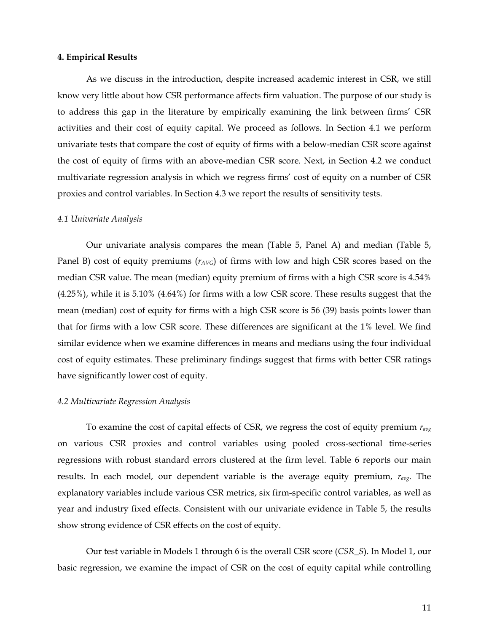#### **4. Empirical Results**

As we discuss in the introduction, despite increased academic interest in CSR, we still know very little about how CSR performance affects firm valuation. The purpose of our study is to address this gap in the literature by empirically examining the link between firms' CSR activities and their cost of equity capital. We proceed as follows. In Section 4.1 we perform univariate tests that compare the cost of equity of firms with a below-median CSR score against the cost of equity of firms with an above-median CSR score*.* Next, in Section 4.2 we conduct multivariate regression analysis in which we regress firms' cost of equity on a number of CSR proxies and control variables. In Section 4.3 we report the results of sensitivity tests.

#### *4.1 Univariate Analysis*

Our univariate analysis compares the mean (Table 5, Panel A) and median (Table 5, Panel B) cost of equity premiums ( $r_{AVG}$ ) of firms with low and high CSR scores based on the median CSR value. The mean (median) equity premium of firms with a high CSR score is 4.54% (4.25%), while it is 5.10% (4.64%) for firms with a low CSR score. These results suggest that the mean (median) cost of equity for firms with a high CSR score is 56 (39) basis points lower than that for firms with a low CSR score. These differences are significant at the 1% level. We find similar evidence when we examine differences in means and medians using the four individual cost of equity estimates. These preliminary findings suggest that firms with better CSR ratings have significantly lower cost of equity.

#### *4.2 Multivariate Regression Analysis*

To examine the cost of capital effects of CSR, we regress the cost of equity premium *ravg* on various CSR proxies and control variables using pooled cross-sectional time-series regressions with robust standard errors clustered at the firm level. Table 6 reports our main results. In each model, our dependent variable is the average equity premium, *ravg*. The explanatory variables include various CSR metrics, six firm-specific control variables, as well as year and industry fixed effects. Consistent with our univariate evidence in Table 5, the results show strong evidence of CSR effects on the cost of equity.

Our test variable in Models 1 through 6 is the overall CSR score (*CSR\_S*). In Model 1, our basic regression, we examine the impact of CSR on the cost of equity capital while controlling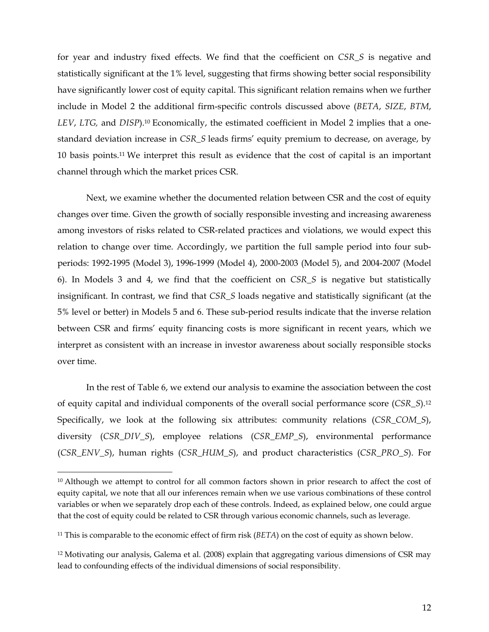for year and industry fixed effects. We find that the coefficient on *CSR\_S* is negative and statistically significant at the 1% level, suggesting that firms showing better social responsibility have significantly lower cost of equity capital. This significant relation remains when we further include in Model 2 the additional firm-specific controls discussed above (*BETA*, *SIZE*, *BTM*, *LEV*, *LTG,* and *DISP*).10 Economically, the estimated coefficient in Model 2 implies that a onestandard deviation increase in *CSR\_S* leads firms' equity premium to decrease, on average, by 10 basis points.11 We interpret this result as evidence that the cost of capital is an important channel through which the market prices CSR.

Next, we examine whether the documented relation between CSR and the cost of equity changes over time. Given the growth of socially responsible investing and increasing awareness among investors of risks related to CSR-related practices and violations, we would expect this relation to change over time. Accordingly, we partition the full sample period into four subperiods: 1992-1995 (Model 3), 1996-1999 (Model 4), 2000-2003 (Model 5), and 2004-2007 (Model 6). In Models 3 and 4, we find that the coefficient on *CSR\_S* is negative but statistically insignificant. In contrast, we find that *CSR\_S* loads negative and statistically significant (at the 5% level or better) in Models 5 and 6. These sub-period results indicate that the inverse relation between CSR and firms' equity financing costs is more significant in recent years, which we interpret as consistent with an increase in investor awareness about socially responsible stocks over time.

In the rest of Table 6, we extend our analysis to examine the association between the cost of equity capital and individual components of the overall social performance score (*CSR\_S*).12 Specifically, we look at the following six attributes: community relations (*CSR\_COM\_S*), diversity (*CSR\_DIV\_S*), employee relations (*CSR\_EMP\_S*), environmental performance (*CSR\_ENV\_S*), human rights (*CSR\_HUM\_S*), and product characteristics (*CSR\_PRO\_S*). For

<sup>&</sup>lt;sup>10</sup> Although we attempt to control for all common factors shown in prior research to affect the cost of equity capital, we note that all our inferences remain when we use various combinations of these control variables or when we separately drop each of these controls. Indeed, as explained below, one could argue that the cost of equity could be related to CSR through various economic channels, such as leverage.

<sup>11</sup> This is comparable to the economic effect of firm risk (*BETA*) on the cost of equity as shown below.

<sup>12</sup> Motivating our analysis, Galema et al. (2008) explain that aggregating various dimensions of CSR may lead to confounding effects of the individual dimensions of social responsibility.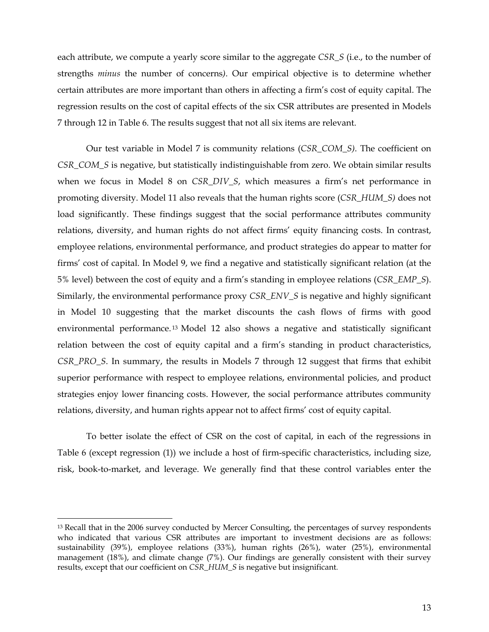each attribute, we compute a yearly score similar to the aggregate *CSR\_S* (i.e., to the number of strengths *minus* the number of concerns*)*. Our empirical objective is to determine whether certain attributes are more important than others in affecting a firm's cost of equity capital. The regression results on the cost of capital effects of the six CSR attributes are presented in Models 7 through 12 in Table 6. The results suggest that not all six items are relevant.

Our test variable in Model 7 is community relations (*CSR\_COM\_S)*. The coefficient on *CSR\_COM\_S* is negative, but statistically indistinguishable from zero. We obtain similar results when we focus in Model 8 on *CSR\_DIV\_S*, which measures a firm's net performance in promoting diversity. Model 11 also reveals that the human rights score (*CSR\_HUM\_S)* does not load significantly. These findings suggest that the social performance attributes community relations, diversity, and human rights do not affect firms' equity financing costs. In contrast, employee relations, environmental performance, and product strategies do appear to matter for firms' cost of capital. In Model 9, we find a negative and statistically significant relation (at the 5% level) between the cost of equity and a firm's standing in employee relations (*CSR\_EMP\_S*). Similarly, the environmental performance proxy *CSR\_ENV\_S* is negative and highly significant in Model 10 suggesting that the market discounts the cash flows of firms with good environmental performance. 13 Model 12 also shows a negative and statistically significant relation between the cost of equity capital and a firm's standing in product characteristics, *CSR\_PRO\_S*. In summary, the results in Models 7 through 12 suggest that firms that exhibit superior performance with respect to employee relations, environmental policies, and product strategies enjoy lower financing costs. However, the social performance attributes community relations, diversity, and human rights appear not to affect firms' cost of equity capital.

To better isolate the effect of CSR on the cost of capital, in each of the regressions in Table 6 (except regression (1)) we include a host of firm-specific characteristics, including size, risk, book-to-market, and leverage. We generally find that these control variables enter the

<sup>&</sup>lt;sup>13</sup> Recall that in the 2006 survey conducted by Mercer Consulting, the percentages of survey respondents who indicated that various CSR attributes are important to investment decisions are as follows: sustainability (39%), employee relations (33%), human rights (26%), water (25%), environmental management (18%), and climate change (7%). Our findings are generally consistent with their survey results, except that our coefficient on *CSR\_HUM\_S* is negative but insignificant*.*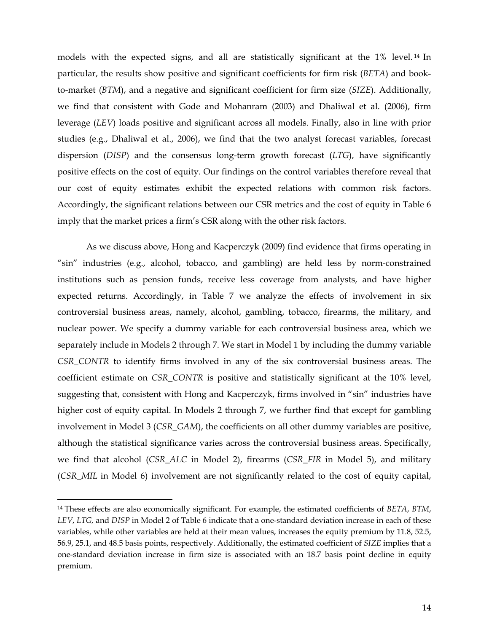models with the expected signs, and all are statistically significant at the 1% level. 14 In particular, the results show positive and significant coefficients for firm risk (*BETA*) and bookto-market (*BTM*), and a negative and significant coefficient for firm size (*SIZE*). Additionally, we find that consistent with Gode and Mohanram (2003) and Dhaliwal et al. (2006), firm leverage (*LEV*) loads positive and significant across all models. Finally, also in line with prior studies (e.g., Dhaliwal et al., 2006), we find that the two analyst forecast variables, forecast dispersion (*DISP*) and the consensus long-term growth forecast (*LTG*), have significantly positive effects on the cost of equity. Our findings on the control variables therefore reveal that our cost of equity estimates exhibit the expected relations with common risk factors. Accordingly, the significant relations between our CSR metrics and the cost of equity in Table 6 imply that the market prices a firm's CSR along with the other risk factors.

As we discuss above, Hong and Kacperczyk (2009) find evidence that firms operating in "sin" industries (e.g., alcohol, tobacco, and gambling) are held less by norm-constrained institutions such as pension funds, receive less coverage from analysts, and have higher expected returns. Accordingly, in Table 7 we analyze the effects of involvement in six controversial business areas, namely, alcohol, gambling, tobacco, firearms, the military, and nuclear power. We specify a dummy variable for each controversial business area, which we separately include in Models 2 through 7. We start in Model 1 by including the dummy variable *CSR\_CONTR* to identify firms involved in any of the six controversial business areas. The coefficient estimate on *CSR\_CONTR* is positive and statistically significant at the 10% level, suggesting that, consistent with Hong and Kacperczyk, firms involved in "sin" industries have higher cost of equity capital. In Models 2 through 7, we further find that except for gambling involvement in Model 3 (*CSR\_GAM*), the coefficients on all other dummy variables are positive, although the statistical significance varies across the controversial business areas. Specifically, we find that alcohol (*CSR\_ALC* in Model 2), firearms (*CSR\_FIR* in Model 5), and military (*CSR\_MIL* in Model 6) involvement are not significantly related to the cost of equity capital,

<sup>14</sup> These effects are also economically significant. For example, the estimated coefficients of *BETA*, *BTM*, *LEV*, *LTG,* and *DISP* in Model 2 of Table 6 indicate that a one-standard deviation increase in each of these variables, while other variables are held at their mean values, increases the equity premium by 11.8, 52.5, 56.9, 25.1, and 48.5 basis points, respectively. Additionally, the estimated coefficient of *SIZE* implies that a one-standard deviation increase in firm size is associated with an 18.7 basis point decline in equity premium.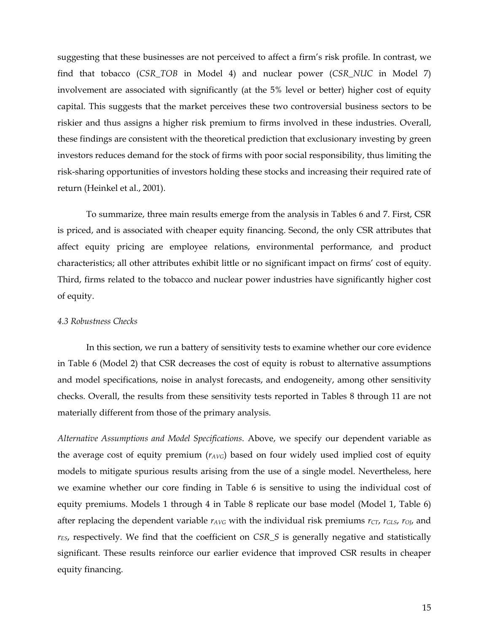suggesting that these businesses are not perceived to affect a firm's risk profile. In contrast, we find that tobacco (*CSR\_TOB* in Model 4) and nuclear power (*CSR\_NUC* in Model 7) involvement are associated with significantly (at the 5% level or better) higher cost of equity capital. This suggests that the market perceives these two controversial business sectors to be riskier and thus assigns a higher risk premium to firms involved in these industries. Overall, these findings are consistent with the theoretical prediction that exclusionary investing by green investors reduces demand for the stock of firms with poor social responsibility, thus limiting the risk-sharing opportunities of investors holding these stocks and increasing their required rate of return (Heinkel et al., 2001).

To summarize, three main results emerge from the analysis in Tables 6 and 7. First, CSR is priced, and is associated with cheaper equity financing. Second, the only CSR attributes that affect equity pricing are employee relations, environmental performance, and product characteristics; all other attributes exhibit little or no significant impact on firms' cost of equity. Third, firms related to the tobacco and nuclear power industries have significantly higher cost of equity.

#### *4.3 Robustness Checks*

In this section, we run a battery of sensitivity tests to examine whether our core evidence in Table 6 (Model 2) that CSR decreases the cost of equity is robust to alternative assumptions and model specifications, noise in analyst forecasts, and endogeneity, among other sensitivity checks. Overall, the results from these sensitivity tests reported in Tables 8 through 11 are not materially different from those of the primary analysis.

*Alternative Assumptions and Model Specifications*. Above, we specify our dependent variable as the average cost of equity premium  $(r_{AVG})$  based on four widely used implied cost of equity models to mitigate spurious results arising from the use of a single model. Nevertheless, here we examine whether our core finding in Table 6 is sensitive to using the individual cost of equity premiums. Models 1 through 4 in Table 8 replicate our base model (Model 1, Table 6) after replacing the dependent variable  $r_{AVG}$  with the individual risk premiums  $r_{CT}$ ,  $r_{GLS}$ ,  $r_{O}$ , and *rES*, respectively. We find that the coefficient on *CSR\_S* is generally negative and statistically significant. These results reinforce our earlier evidence that improved CSR results in cheaper equity financing.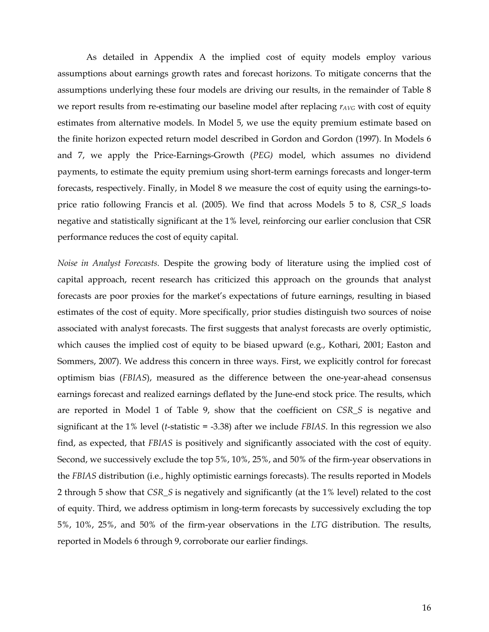As detailed in Appendix A the implied cost of equity models employ various assumptions about earnings growth rates and forecast horizons. To mitigate concerns that the assumptions underlying these four models are driving our results, in the remainder of Table 8 we report results from re-estimating our baseline model after replacing  $r_{AVG}$  with cost of equity estimates from alternative models. In Model 5, we use the equity premium estimate based on the finite horizon expected return model described in Gordon and Gordon (1997). In Models 6 and 7, we apply the Price-Earnings-Growth (*PEG)* model, which assumes no dividend payments, to estimate the equity premium using short-term earnings forecasts and longer-term forecasts, respectively. Finally, in Model 8 we measure the cost of equity using the earnings-toprice ratio following Francis et al. (2005). We find that across Models 5 to 8, *CSR\_S* loads negative and statistically significant at the 1% level, reinforcing our earlier conclusion that CSR performance reduces the cost of equity capital.

*Noise in Analyst Forecasts.* Despite the growing body of literature using the implied cost of capital approach, recent research has criticized this approach on the grounds that analyst forecasts are poor proxies for the market's expectations of future earnings, resulting in biased estimates of the cost of equity. More specifically, prior studies distinguish two sources of noise associated with analyst forecasts. The first suggests that analyst forecasts are overly optimistic, which causes the implied cost of equity to be biased upward (e.g., Kothari, 2001; Easton and Sommers, 2007). We address this concern in three ways. First, we explicitly control for forecast optimism bias (*FBIAS*), measured as the difference between the one-year-ahead consensus earnings forecast and realized earnings deflated by the June-end stock price. The results, which are reported in Model 1 of Table 9, show that the coefficient on *CSR\_S* is negative and significant at the 1% level (*t*-statistic = -3.38) after we include *FBIAS*. In this regression we also find, as expected, that *FBIAS* is positively and significantly associated with the cost of equity. Second, we successively exclude the top 5%, 10%, 25%, and 50% of the firm-year observations in the *FBIAS* distribution (i.e., highly optimistic earnings forecasts). The results reported in Models 2 through 5 show that *CSR\_S* is negatively and significantly (at the 1% level) related to the cost of equity. Third, we address optimism in long-term forecasts by successively excluding the top 5%, 10%, 25%, and 50% of the firm-year observations in the *LTG* distribution. The results, reported in Models 6 through 9, corroborate our earlier findings.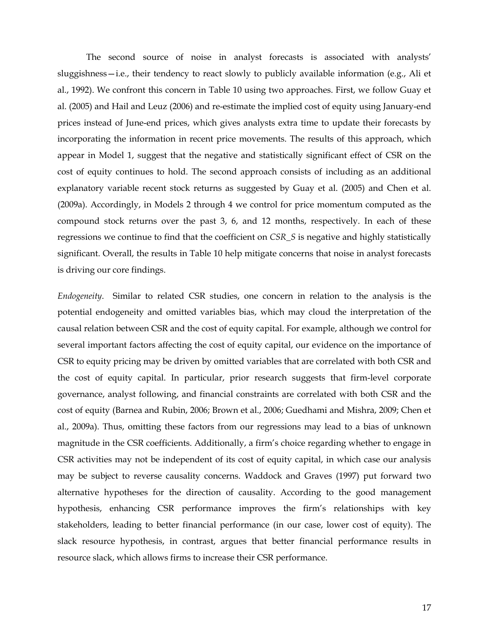The second source of noise in analyst forecasts is associated with analysts' sluggishness—i.e., their tendency to react slowly to publicly available information (e.g., Ali et al., 1992). We confront this concern in Table 10 using two approaches. First, we follow Guay et al. (2005) and Hail and Leuz (2006) and re-estimate the implied cost of equity using January-end prices instead of June-end prices, which gives analysts extra time to update their forecasts by incorporating the information in recent price movements. The results of this approach, which appear in Model 1, suggest that the negative and statistically significant effect of CSR on the cost of equity continues to hold. The second approach consists of including as an additional explanatory variable recent stock returns as suggested by Guay et al. (2005) and Chen et al. (2009a). Accordingly, in Models 2 through 4 we control for price momentum computed as the compound stock returns over the past 3, 6, and 12 months, respectively. In each of these regressions we continue to find that the coefficient on *CSR\_S* is negative and highly statistically significant. Overall, the results in Table 10 help mitigate concerns that noise in analyst forecasts is driving our core findings.

*Endogeneity*. Similar to related CSR studies, one concern in relation to the analysis is the potential endogeneity and omitted variables bias, which may cloud the interpretation of the causal relation between CSR and the cost of equity capital. For example, although we control for several important factors affecting the cost of equity capital, our evidence on the importance of CSR to equity pricing may be driven by omitted variables that are correlated with both CSR and the cost of equity capital. In particular, prior research suggests that firm-level corporate governance, analyst following, and financial constraints are correlated with both CSR and the cost of equity (Barnea and Rubin, 2006; Brown et al., 2006; Guedhami and Mishra, 2009; Chen et al., 2009a). Thus, omitting these factors from our regressions may lead to a bias of unknown magnitude in the CSR coefficients. Additionally, a firm's choice regarding whether to engage in CSR activities may not be independent of its cost of equity capital, in which case our analysis may be subject to reverse causality concerns. Waddock and Graves (1997) put forward two alternative hypotheses for the direction of causality. According to the good management hypothesis, enhancing CSR performance improves the firm's relationships with key stakeholders, leading to better financial performance (in our case, lower cost of equity). The slack resource hypothesis, in contrast, argues that better financial performance results in resource slack, which allows firms to increase their CSR performance.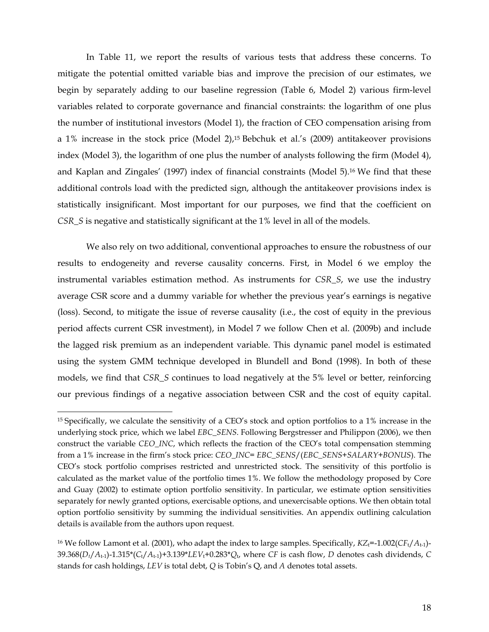In Table 11, we report the results of various tests that address these concerns. To mitigate the potential omitted variable bias and improve the precision of our estimates, we begin by separately adding to our baseline regression (Table 6, Model 2) various firm-level variables related to corporate governance and financial constraints: the logarithm of one plus the number of institutional investors (Model 1), the fraction of CEO compensation arising from a 1% increase in the stock price (Model 2),15 Bebchuk et al.'s (2009) antitakeover provisions index (Model 3), the logarithm of one plus the number of analysts following the firm (Model 4), and Kaplan and Zingales' (1997) index of financial constraints (Model 5).16 We find that these additional controls load with the predicted sign, although the antitakeover provisions index is statistically insignificant. Most important for our purposes, we find that the coefficient on *CSR\_S* is negative and statistically significant at the 1% level in all of the models.

We also rely on two additional, conventional approaches to ensure the robustness of our results to endogeneity and reverse causality concerns. First, in Model 6 we employ the instrumental variables estimation method. As instruments for *CSR\_S*, we use the industry average CSR score and a dummy variable for whether the previous year's earnings is negative (loss). Second, to mitigate the issue of reverse causality (i.e., the cost of equity in the previous period affects current CSR investment), in Model 7 we follow Chen et al. (2009b) and include the lagged risk premium as an independent variable. This dynamic panel model is estimated using the system GMM technique developed in Blundell and Bond (1998). In both of these models, we find that *CSR\_S* continues to load negatively at the 5% level or better, reinforcing our previous findings of a negative association between CSR and the cost of equity capital.

<sup>15</sup> Specifically, we calculate the sensitivity of a CEO's stock and option portfolios to a 1% increase in the underlying stock price, which we label *EBC\_SENS*. Following Bergstresser and Philippon (2006), we then construct the variable *CEO\_INC*, which reflects the fraction of the CEO's total compensation stemming from a 1% increase in the firm's stock price: *CEO\_INC*= *EBC\_SENS*/(*EBC\_SENS*+*SALARY*+*BONUS*). The CEO's stock portfolio comprises restricted and unrestricted stock. The sensitivity of this portfolio is calculated as the market value of the portfolio times 1%. We follow the methodology proposed by Core and Guay (2002) to estimate option portfolio sensitivity. In particular, we estimate option sensitivities separately for newly granted options, exercisable options, and unexercisable options. We then obtain total option portfolio sensitivity by summing the individual sensitivities. An appendix outlining calculation details is available from the authors upon request.

<sup>&</sup>lt;sup>16</sup> We follow Lamont et al. (2001), who adapt the index to large samples. Specifically,  $KZ_t$ =-1.002( $CF_t/A_{t-1}$ )-39.368(*Dt*/*A*t-1)-1.315\*(*C*t/*A*t-1)+3.139\**LEV*t+0.283\**Q*t, where *CF* is cash flow, *D* denotes cash dividends, *C* stands for cash holdings, *LEV* is total debt, *Q* is Tobin's Q, and *A* denotes total assets.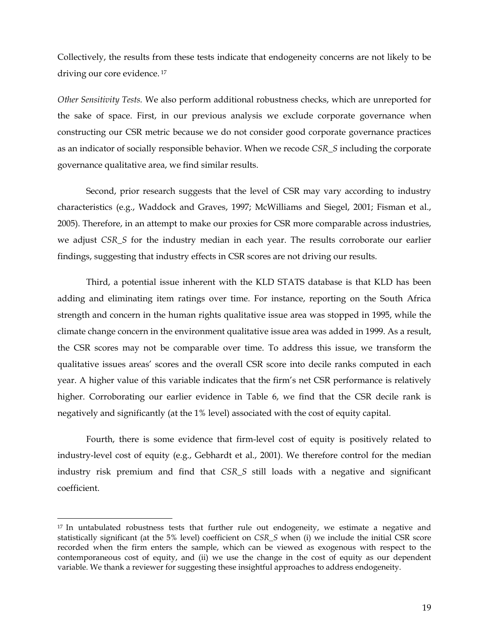Collectively, the results from these tests indicate that endogeneity concerns are not likely to be driving our core evidence.<sup>17</sup>

*Other Sensitivity Tests.* We also perform additional robustness checks, which are unreported for the sake of space. First, in our previous analysis we exclude corporate governance when constructing our CSR metric because we do not consider good corporate governance practices as an indicator of socially responsible behavior. When we recode *CSR\_S* including the corporate governance qualitative area, we find similar results.

Second, prior research suggests that the level of CSR may vary according to industry characteristics (e.g., Waddock and Graves, 1997; McWilliams and Siegel, 2001; Fisman et al., 2005). Therefore, in an attempt to make our proxies for CSR more comparable across industries, we adjust *CSR\_S* for the industry median in each year. The results corroborate our earlier findings, suggesting that industry effects in CSR scores are not driving our results.

Third, a potential issue inherent with the KLD STATS database is that KLD has been adding and eliminating item ratings over time. For instance, reporting on the South Africa strength and concern in the human rights qualitative issue area was stopped in 1995, while the climate change concern in the environment qualitative issue area was added in 1999. As a result, the CSR scores may not be comparable over time. To address this issue, we transform the qualitative issues areas' scores and the overall CSR score into decile ranks computed in each year. A higher value of this variable indicates that the firm's net CSR performance is relatively higher. Corroborating our earlier evidence in Table 6, we find that the CSR decile rank is negatively and significantly (at the 1% level) associated with the cost of equity capital.

Fourth, there is some evidence that firm-level cost of equity is positively related to industry-level cost of equity (e.g., Gebhardt et al., 2001). We therefore control for the median industry risk premium and find that *CSR\_S* still loads with a negative and significant coefficient.

<sup>&</sup>lt;sup>17</sup> In untabulated robustness tests that further rule out endogeneity, we estimate a negative and statistically significant (at the 5% level) coefficient on *CSR\_S* when (i) we include the initial CSR score recorded when the firm enters the sample, which can be viewed as exogenous with respect to the contemporaneous cost of equity, and (ii) we use the change in the cost of equity as our dependent variable. We thank a reviewer for suggesting these insightful approaches to address endogeneity.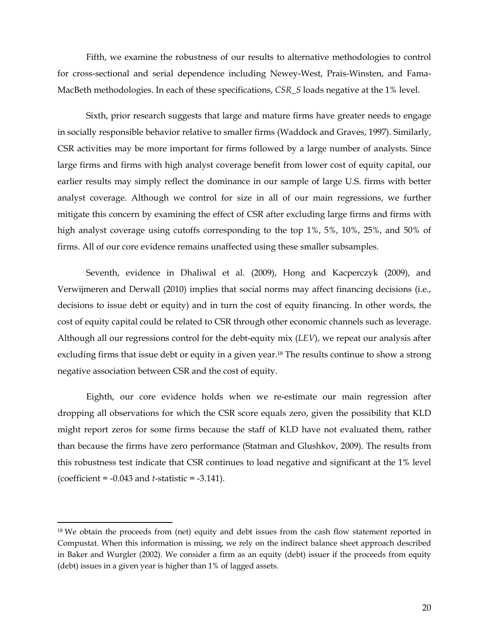Fifth, we examine the robustness of our results to alternative methodologies to control for cross-sectional and serial dependence including Newey-West, Prais-Winsten, and Fama-MacBeth methodologies. In each of these specifications, *CSR\_S* loads negative at the 1% level.

Sixth, prior research suggests that large and mature firms have greater needs to engage in socially responsible behavior relative to smaller firms (Waddock and Graves, 1997). Similarly, CSR activities may be more important for firms followed by a large number of analysts. Since large firms and firms with high analyst coverage benefit from lower cost of equity capital, our earlier results may simply reflect the dominance in our sample of large U.S. firms with better analyst coverage. Although we control for size in all of our main regressions, we further mitigate this concern by examining the effect of CSR after excluding large firms and firms with high analyst coverage using cutoffs corresponding to the top 1%, 5%, 10%, 25%, and 50% of firms. All of our core evidence remains unaffected using these smaller subsamples.

Seventh, evidence in Dhaliwal et al. (2009), Hong and Kacperczyk (2009), and Verwijmeren and Derwall (2010) implies that social norms may affect financing decisions (i.e., decisions to issue debt or equity) and in turn the cost of equity financing. In other words, the cost of equity capital could be related to CSR through other economic channels such as leverage. Although all our regressions control for the debt-equity mix (*LEV*), we repeat our analysis after excluding firms that issue debt or equity in a given year.<sup>18</sup> The results continue to show a strong negative association between CSR and the cost of equity.

Eighth, our core evidence holds when we re-estimate our main regression after dropping all observations for which the CSR score equals zero, given the possibility that KLD might report zeros for some firms because the staff of KLD have not evaluated them, rather than because the firms have zero performance (Statman and Glushkov, 2009). The results from this robustness test indicate that CSR continues to load negative and significant at the 1% level (coefficient = -0.043 and *t*-statistic = -3.141).

<sup>&</sup>lt;sup>18</sup> We obtain the proceeds from (net) equity and debt issues from the cash flow statement reported in Compustat. When this information is missing, we rely on the indirect balance sheet approach described in Baker and Wurgler (2002). We consider a firm as an equity (debt) issuer if the proceeds from equity (debt) issues in a given year is higher than 1% of lagged assets.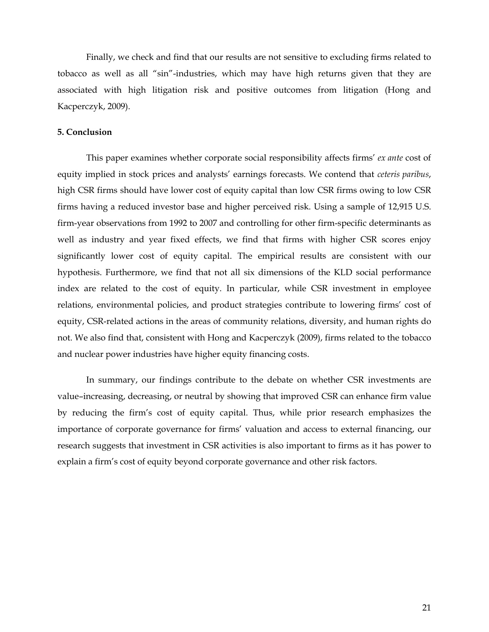Finally, we check and find that our results are not sensitive to excluding firms related to tobacco as well as all "sin"-industries, which may have high returns given that they are associated with high litigation risk and positive outcomes from litigation (Hong and Kacperczyk, 2009).

#### **5. Conclusion**

This paper examines whether corporate social responsibility affects firms' *ex ante* cost of equity implied in stock prices and analysts' earnings forecasts. We contend that *ceteris paribus*, high CSR firms should have lower cost of equity capital than low CSR firms owing to low CSR firms having a reduced investor base and higher perceived risk. Using a sample of 12,915 U.S. firm-year observations from 1992 to 2007 and controlling for other firm-specific determinants as well as industry and year fixed effects, we find that firms with higher CSR scores enjoy significantly lower cost of equity capital. The empirical results are consistent with our hypothesis. Furthermore, we find that not all six dimensions of the KLD social performance index are related to the cost of equity. In particular, while CSR investment in employee relations, environmental policies, and product strategies contribute to lowering firms' cost of equity, CSR-related actions in the areas of community relations, diversity, and human rights do not. We also find that, consistent with Hong and Kacperczyk (2009), firms related to the tobacco and nuclear power industries have higher equity financing costs.

In summary, our findings contribute to the debate on whether CSR investments are value–increasing, decreasing, or neutral by showing that improved CSR can enhance firm value by reducing the firm's cost of equity capital. Thus, while prior research emphasizes the importance of corporate governance for firms' valuation and access to external financing, our research suggests that investment in CSR activities is also important to firms as it has power to explain a firm's cost of equity beyond corporate governance and other risk factors.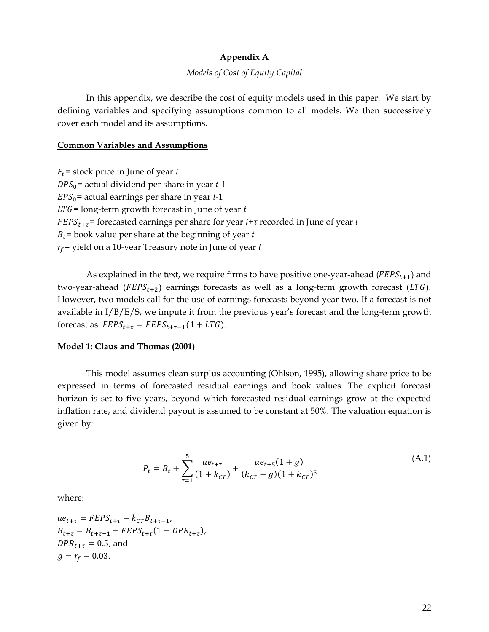# **Appendix A**

## *Models of Cost of Equity Capital*

In this appendix, we describe the cost of equity models used in this paper. We start by defining variables and specifying assumptions common to all models. We then successively cover each model and its assumptions.

#### **Common Variables and Assumptions**

 $P_t$ = stock price in June of year *t*  $DPS_0$ = actual dividend per share in year  $t-1$ ܧܲܵ =actual earnings per share in year *t*-1 LTG= long-term growth forecast in June of year *t* ܧܨܲܵ௧ାఛ= forecasted earnings per share for year *t*+*τ* recorded in June of year *t*  $B_t$ = book value per share at the beginning of year *t*  $r_f$  = yield on a 10-year Treasury note in June of year  $t$ 

As explained in the text, we require firms to have positive one-year-ahead ( $FEPS_{t+1}$ ) and two-year-ahead ( $FEPS_{t+2}$ ) earnings forecasts as well as a long-term growth forecast (LTG). However, two models call for the use of earnings forecasts beyond year two. If a forecast is not available in I/B/E/S, we impute it from the previous year's forecast and the long-term growth forecast as  $FEPS_{t+\tau} = FEPS_{t+\tau-1}(1 + LTG)$ .

# **Model 1: Claus and Thomas (2001)**

This model assumes clean surplus accounting (Ohlson, 1995), allowing share price to be expressed in terms of forecasted residual earnings and book values. The explicit forecast horizon is set to five years, beyond which forecasted residual earnings grow at the expected inflation rate, and dividend payout is assumed to be constant at 50%. The valuation equation is given by:

$$
P_t = B_t + \sum_{\tau=1}^5 \frac{ae_{t+\tau}}{(1 + k_{CT})} + \frac{ae_{t+5}(1+g)}{(k_{CT} - g)(1 + k_{CT})^5}
$$
(A.1)

where:

 $ae_{t+\tau} = FEPS_{t+\tau} - k_{CT}B_{t+\tau-1}$  $B_{t+\tau} = B_{t+\tau-1} + FEPS_{t+\tau} (1 - DPR_{t+\tau}),$  $DPR_{t+\tau} = 0.5$ , and  $g = r_f - 0.03$ .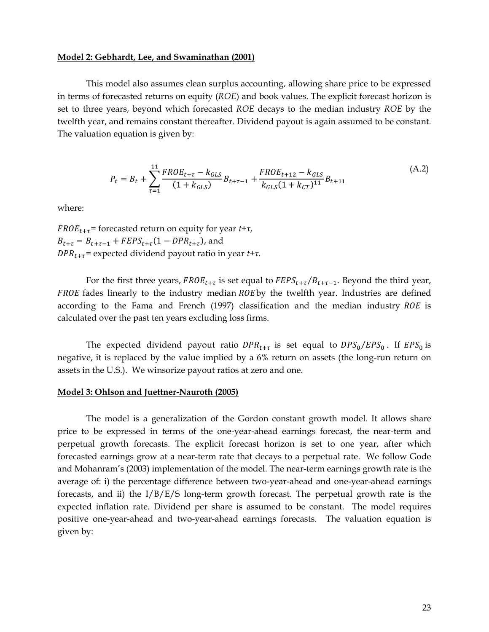#### **Model 2: Gebhardt, Lee, and Swaminathan (2001)**

This model also assumes clean surplus accounting, allowing share price to be expressed in terms of forecasted returns on equity (*ROE*) and book values. The explicit forecast horizon is set to three years, beyond which forecasted *ROE* decays to the median industry *ROE* by the twelfth year, and remains constant thereafter. Dividend payout is again assumed to be constant. The valuation equation is given by:

$$
P_t = B_t + \sum_{\tau=1}^{11} \frac{FROE_{t+\tau} - k_{GLS}}{(1 + k_{GLS})} B_{t+\tau-1} + \frac{FROE_{t+12} - k_{GLS}}{k_{GLS}(1 + k_{CT})^{11}} B_{t+11}
$$
(A.2)

where:

 $FROE_{t+\tau}$ = forecasted return on equity for year  $t+\tau$ ,  $B_{t+\tau} = B_{t+\tau-1} + FEPS_{t+\tau} (1 - DPR_{t+\tau})$ , and  $DPR_{t+\tau}$ = expected dividend payout ratio in year  $t+\tau$ .

For the first three years,  $FROE_{t+\tau}$  is set equal to  $FEPS_{t+\tau}/B_{t+\tau-1}$ . Beyond the third year, FROE fades linearly to the industry median ROE by the twelfth year. Industries are defined according to the Fama and French  $(1997)$  classification and the median industry ROE is calculated over the past ten years excluding loss firms.

The expected dividend payout ratio  $DPR_{t+\tau}$  is set equal to  $DPS_0/EPS_0$ . If  $EPS_0$  is negative, it is replaced by the value implied by a 6% return on assets (the long-run return on assets in the U.S.). We winsorize payout ratios at zero and one.

#### **Model 3: Ohlson and Juettner-Nauroth (2005)**

The model is a generalization of the Gordon constant growth model. It allows share price to be expressed in terms of the one-year-ahead earnings forecast, the near-term and perpetual growth forecasts. The explicit forecast horizon is set to one year, after which forecasted earnings grow at a near-term rate that decays to a perpetual rate. We follow Gode and Mohanram's (2003) implementation of the model. The near-term earnings growth rate is the average of: i) the percentage difference between two-year-ahead and one-year-ahead earnings forecasts, and ii) the I/B/E/S long-term growth forecast. The perpetual growth rate is the expected inflation rate. Dividend per share is assumed to be constant. The model requires positive one-year-ahead and two-year-ahead earnings forecasts. The valuation equation is given by: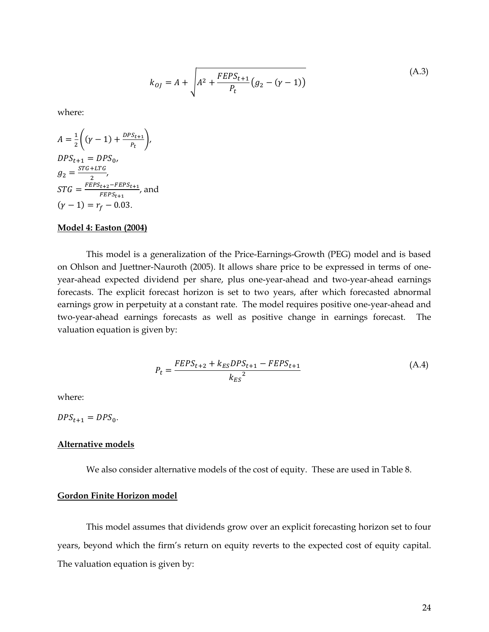$$
k_{0J} = A + \sqrt{A^2 + \frac{FEPS_{t+1}}{P_t} (g_2 - (\gamma - 1))}
$$
 (A.3)

where:

$$
A = \frac{1}{2} \left( (\gamma - 1) + \frac{DPS_{t+1}}{P_t} \right),
$$
  
\n
$$
DPS_{t+1} = DPS_0,
$$
  
\n
$$
g_2 = \frac{STG + LTG}{2},
$$
  
\n
$$
STG = \frac{FEPS_{t+2} - FEPS_{t+1}}{FEPS_{t+1}},
$$
 and  
\n
$$
(\gamma - 1) = r_f - 0.03.
$$

#### **Model 4: Easton (2004)**

This model is a generalization of the Price-Earnings-Growth (PEG) model and is based on Ohlson and Juettner-Nauroth (2005). It allows share price to be expressed in terms of oneyear-ahead expected dividend per share, plus one-year-ahead and two-year-ahead earnings forecasts. The explicit forecast horizon is set to two years, after which forecasted abnormal earnings grow in perpetuity at a constant rate. The model requires positive one-year-ahead and two-year-ahead earnings forecasts as well as positive change in earnings forecast. The valuation equation is given by:

$$
P_{t} = \frac{FEPS_{t+2} + k_{ES}DPS_{t+1} - FEPS_{t+1}}{k_{ES}^{2}}
$$
(A.4)

where:

 $DPS_{t+1} = DPS_0$ .

## **Alternative models**

We also consider alternative models of the cost of equity. These are used in Table 8.

## **Gordon Finite Horizon model**

This model assumes that dividends grow over an explicit forecasting horizon set to four years, beyond which the firm's return on equity reverts to the expected cost of equity capital. The valuation equation is given by: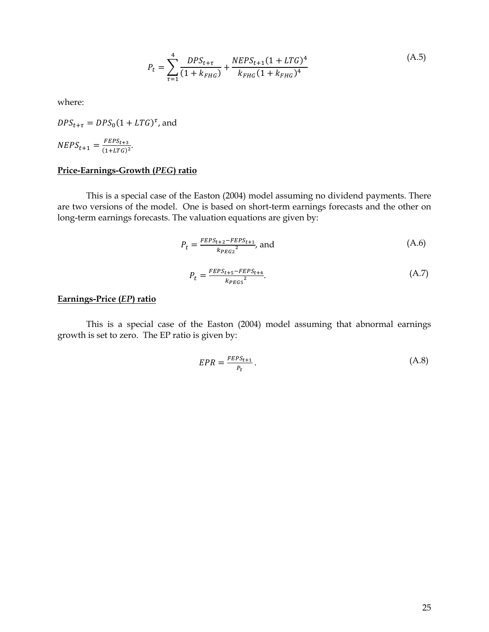$$
P_t = \sum_{\tau=1}^4 \frac{DPS_{t+\tau}}{(1 + k_{FHG})} + \frac{NEPS_{t+1}(1 + LTG)^4}{k_{FHG}(1 + k_{FHG})^4}
$$
(A.5)

where:

 $DPS_{t+\tau} = DPS_0 (1 + LTG)^{\tau}$ , and  $NEPS_{t+1} = \frac{FEPS_{t+3}}{(1+LTG)^2}.$ 

# **Price-Earnings-Growth (***PEG***) ratio**

This is a special case of the Easton (2004) model assuming no dividend payments. There are two versions of the model. One is based on short-term earnings forecasts and the other on long-term earnings forecasts. The valuation equations are given by:

$$
P_t = \frac{FEPS_{t+2} - FEPS_{t+1}}{k_{PEG2}^2}
$$
, and (A.6)

$$
P_t = \frac{FEPS_{t+5} - FEPS_{t+4}}{k_{PEG5}^2}.\tag{A.7}
$$

# **Earnings-Price (***EP***) ratio**

This is a special case of the Easton (2004) model assuming that abnormal earnings growth is set to zero. The EP ratio is given by:

$$
EPR = \frac{FEPS_{t+1}}{P_t} \,. \tag{A.8}
$$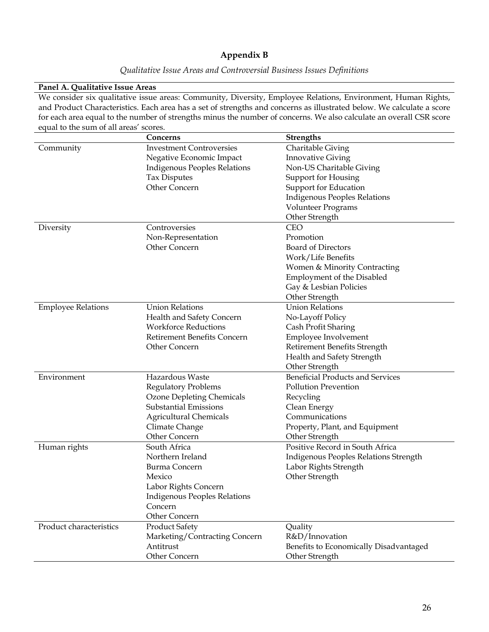# **Appendix B**

|  | Qualitative Issue Areas and Controversial Business Issues Definitions |  |
|--|-----------------------------------------------------------------------|--|
|  |                                                                       |  |

#### **Panel A. Qualitative Issue Areas**

We consider six qualitative issue areas: Community, Diversity, Employee Relations, Environment, Human Rights, and Product Characteristics. Each area has a set of strengths and concerns as illustrated below. We calculate a score for each area equal to the number of strengths minus the number of concerns. We also calculate an overall CSR score equal to the sum of all areas' scores.

|                           | Concerns                            | <b>Strengths</b>                        |
|---------------------------|-------------------------------------|-----------------------------------------|
| Community                 | <b>Investment Controversies</b>     | <b>Charitable Giving</b>                |
|                           | Negative Economic Impact            | <b>Innovative Giving</b>                |
|                           | <b>Indigenous Peoples Relations</b> | Non-US Charitable Giving                |
|                           | <b>Tax Disputes</b>                 | Support for Housing                     |
|                           | Other Concern                       | Support for Education                   |
|                           |                                     | <b>Indigenous Peoples Relations</b>     |
|                           |                                     | <b>Volunteer Programs</b>               |
|                           |                                     | Other Strength                          |
| Diversity                 | Controversies                       | <b>CEO</b>                              |
|                           | Non-Representation                  | Promotion                               |
|                           | Other Concern                       | <b>Board of Directors</b>               |
|                           |                                     | Work/Life Benefits                      |
|                           |                                     | Women & Minority Contracting            |
|                           |                                     | Employment of the Disabled              |
|                           |                                     | Gay & Lesbian Policies                  |
|                           |                                     | Other Strength                          |
| <b>Employee Relations</b> | <b>Union Relations</b>              | <b>Union Relations</b>                  |
|                           | Health and Safety Concern           | No-Layoff Policy                        |
|                           | <b>Workforce Reductions</b>         | Cash Profit Sharing                     |
|                           | <b>Retirement Benefits Concern</b>  | Employee Involvement                    |
|                           | Other Concern                       | Retirement Benefits Strength            |
|                           |                                     | Health and Safety Strength              |
|                           |                                     | Other Strength                          |
| Environment               | Hazardous Waste                     | <b>Beneficial Products and Services</b> |
|                           | <b>Regulatory Problems</b>          | <b>Pollution Prevention</b>             |
|                           | <b>Ozone Depleting Chemicals</b>    | Recycling                               |
|                           | <b>Substantial Emissions</b>        | Clean Energy                            |
|                           | <b>Agricultural Chemicals</b>       | Communications                          |
|                           | Climate Change                      | Property, Plant, and Equipment          |
|                           | Other Concern                       | Other Strength                          |
| Human rights              | South Africa                        | Positive Record in South Africa         |
|                           | Northern Ireland                    | Indigenous Peoples Relations Strength   |
|                           | Burma Concern                       | Labor Rights Strength                   |
|                           | Mexico                              | Other Strength                          |
|                           | Labor Rights Concern                |                                         |
|                           | <b>Indigenous Peoples Relations</b> |                                         |
|                           | Concern                             |                                         |
|                           | Other Concern                       |                                         |
| Product characteristics   | <b>Product Safety</b>               | Quality                                 |
|                           | Marketing/Contracting Concern       | R&D/Innovation                          |
|                           | Antitrust                           | Benefits to Economically Disadvantaged  |
|                           | Other Concern                       | Other Strength                          |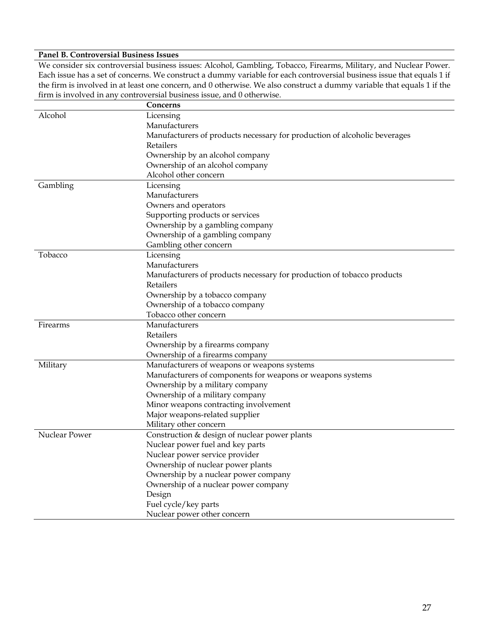# **Panel B. Controversial Business Issues**

We consider six controversial business issues: Alcohol, Gambling, Tobacco, Firearms, Military, and Nuclear Power. Each issue has a set of concerns. We construct a dummy variable for each controversial business issue that equals 1 if the firm is involved in at least one concern, and 0 otherwise. We also construct a dummy variable that equals 1 if the firm is involved in any controversial business issue, and 0 otherwise.

|               | Concerns                                                                  |
|---------------|---------------------------------------------------------------------------|
| Alcohol       | Licensing                                                                 |
|               | Manufacturers                                                             |
|               | Manufacturers of products necessary for production of alcoholic beverages |
|               | Retailers                                                                 |
|               | Ownership by an alcohol company                                           |
|               | Ownership of an alcohol company                                           |
|               | Alcohol other concern                                                     |
| Gambling      | Licensing                                                                 |
|               | Manufacturers                                                             |
|               | Owners and operators                                                      |
|               | Supporting products or services                                           |
|               | Ownership by a gambling company                                           |
|               | Ownership of a gambling company                                           |
|               | Gambling other concern                                                    |
| Tobacco       | Licensing                                                                 |
|               | Manufacturers                                                             |
|               | Manufacturers of products necessary for production of tobacco products    |
|               | Retailers                                                                 |
|               | Ownership by a tobacco company                                            |
|               | Ownership of a tobacco company                                            |
|               | Tobacco other concern                                                     |
| Firearms      | Manufacturers                                                             |
|               | Retailers                                                                 |
|               | Ownership by a firearms company                                           |
|               | Ownership of a firearms company                                           |
| Military      | Manufacturers of weapons or weapons systems                               |
|               | Manufacturers of components for weapons or weapons systems                |
|               | Ownership by a military company                                           |
|               | Ownership of a military company                                           |
|               | Minor weapons contracting involvement                                     |
|               | Major weapons-related supplier                                            |
|               | Military other concern                                                    |
| Nuclear Power | Construction & design of nuclear power plants                             |
|               | Nuclear power fuel and key parts                                          |
|               | Nuclear power service provider                                            |
|               | Ownership of nuclear power plants                                         |
|               | Ownership by a nuclear power company                                      |
|               | Ownership of a nuclear power company                                      |
|               | Design                                                                    |
|               | Fuel cycle/key parts                                                      |
|               | Nuclear power other concern                                               |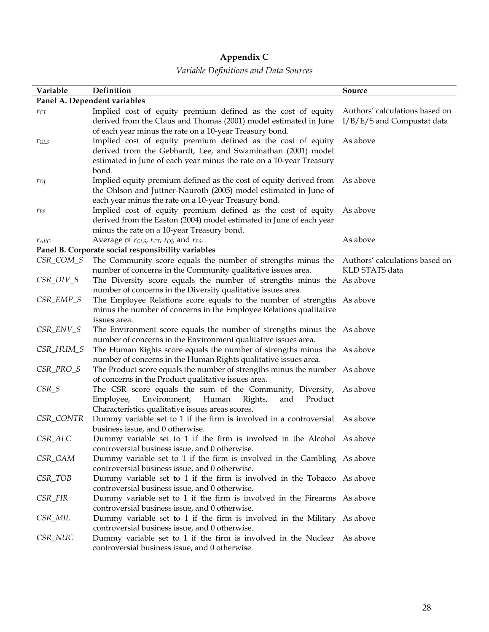# **Appendix C**

# *Variable Definitions and Data Sources*

| Variable     | Definition                                                                                                                                                                                                   | Source                                                       |
|--------------|--------------------------------------------------------------------------------------------------------------------------------------------------------------------------------------------------------------|--------------------------------------------------------------|
|              | Panel A. Dependent variables                                                                                                                                                                                 |                                                              |
| $r_{CT}$     | Implied cost of equity premium defined as the cost of equity<br>derived from the Claus and Thomas (2001) model estimated in June<br>of each year minus the rate on a 10-year Treasury bond.                  | Authors' calculations based on<br>I/B/E/S and Compustat data |
| $r_{GLS}$    | Implied cost of equity premium defined as the cost of equity<br>derived from the Gebhardt, Lee, and Swaminathan (2001) model<br>estimated in June of each year minus the rate on a 10-year Treasury<br>bond. | As above                                                     |
| $r_{O}$      | Implied equity premium defined as the cost of equity derived from As above<br>the Ohlson and Juttner-Nauroth (2005) model estimated in June of<br>each year minus the rate on a 10-year Treasury bond.       |                                                              |
| $r_{ES}$     | Implied cost of equity premium defined as the cost of equity<br>derived from the Easton (2004) model estimated in June of each year<br>minus the rate on a 10-year Treasury bond.                            | As above                                                     |
| $r_{AVG}$    | Average of $r_{GLS}$ , $r_{CT}$ , $r_{OJ}$ , and $r_{ES}$ .                                                                                                                                                  | As above                                                     |
|              | Panel B. Corporate social responsibility variables                                                                                                                                                           |                                                              |
| CSR_COM_S    | The Community score equals the number of strengths minus the Authors' calculations based on<br>number of concerns in the Community qualitative issues area.                                                  | KLD STATS data                                               |
| $CSR\_DIV_S$ | The Diversity score equals the number of strengths minus the As above<br>number of concerns in the Diversity qualitative issues area.                                                                        |                                                              |
| CSR_EMP_S    | The Employee Relations score equals to the number of strengths As above<br>minus the number of concerns in the Employee Relations qualitative<br>issues area.                                                |                                                              |
| $CSR\_ENV_S$ | The Environment score equals the number of strengths minus the As above<br>number of concerns in the Environment qualitative issues area.                                                                    |                                                              |
| CSR_HUM_S    | The Human Rights score equals the number of strengths minus the As above<br>number of concerns in the Human Rights qualitative issues area.                                                                  |                                                              |
| CSR_PRO_S    | The Product score equals the number of strengths minus the number As above<br>of concerns in the Product qualitative issues area.                                                                            |                                                              |
| $CSR_S$      | The CSR score equals the sum of the Community, Diversity,<br>and<br>Employee,<br>Environment,<br>Human<br>Rights,<br>Product<br>Characteristics qualitative issues areas scores.                             | As above                                                     |
| CSR_CONTR    | Dummy variable set to 1 if the firm is involved in a controversial As above<br>business issue, and 0 otherwise.                                                                                              |                                                              |
| CSR_ALC      | Dummy variable set to 1 if the firm is involved in the Alcohol As above<br>controversial business issue, and 0 otherwise.                                                                                    |                                                              |
| CSR_GAM      | Dummy variable set to 1 if the firm is involved in the Gambling As above<br>controversial business issue, and 0 otherwise.                                                                                   |                                                              |
| CSR_TOB      | Dummy variable set to 1 if the firm is involved in the Tobacco As above<br>controversial business issue, and 0 otherwise.                                                                                    |                                                              |
| CSR_FIR      | Dummy variable set to 1 if the firm is involved in the Firearms As above<br>controversial business issue, and 0 otherwise.                                                                                   |                                                              |
| CSR_MIL      | Dummy variable set to 1 if the firm is involved in the Military As above<br>controversial business issue, and 0 otherwise.                                                                                   |                                                              |
| CSR_NUC      | Dummy variable set to 1 if the firm is involved in the Nuclear As above<br>controversial business issue, and 0 otherwise.                                                                                    |                                                              |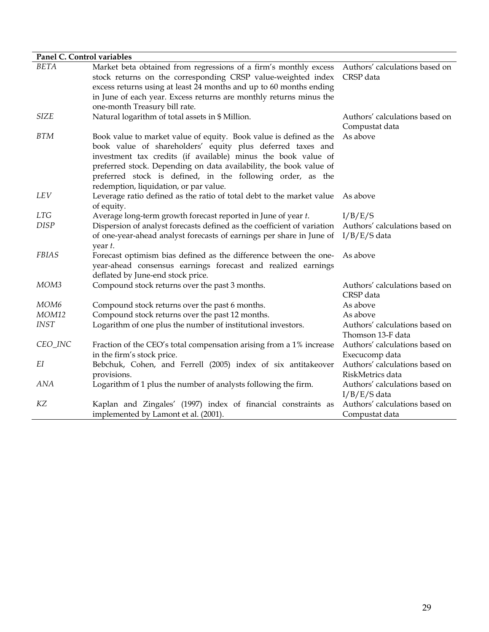| Panel C. Control variables |                                                                         |                                |
|----------------------------|-------------------------------------------------------------------------|--------------------------------|
| <b>BETA</b>                | Market beta obtained from regressions of a firm's monthly excess        | Authors' calculations based on |
|                            | stock returns on the corresponding CRSP value-weighted index            | CRSP data                      |
|                            | excess returns using at least 24 months and up to 60 months ending      |                                |
|                            | in June of each year. Excess returns are monthly returns minus the      |                                |
|                            | one-month Treasury bill rate.                                           |                                |
| <b>SIZE</b>                | Natural logarithm of total assets in \$ Million.                        | Authors' calculations based on |
|                            |                                                                         | Compustat data                 |
| <b>BTM</b>                 | Book value to market value of equity. Book value is defined as the      | As above                       |
|                            | book value of shareholders' equity plus deferred taxes and              |                                |
|                            | investment tax credits (if available) minus the book value of           |                                |
|                            | preferred stock. Depending on data availability, the book value of      |                                |
|                            | preferred stock is defined, in the following order, as the              |                                |
|                            | redemption, liquidation, or par value.                                  |                                |
| LEV                        | Leverage ratio defined as the ratio of total debt to the market value   | As above                       |
|                            | of equity.                                                              |                                |
| <b>LTG</b>                 | Average long-term growth forecast reported in June of year t.           | I/B/E/S                        |
| <b>DISP</b>                | Dispersion of analyst forecasts defined as the coefficient of variation | Authors' calculations based on |
|                            | of one-year-ahead analyst forecasts of earnings per share in June of    | $I/B/E/S$ data                 |
|                            | year t.                                                                 |                                |
| <b>FBIAS</b>               | Forecast optimism bias defined as the difference between the one-       | As above                       |
|                            | year-ahead consensus earnings forecast and realized earnings            |                                |
|                            | deflated by June-end stock price.                                       |                                |
| MOM <sub>3</sub>           | Compound stock returns over the past 3 months.                          | Authors' calculations based on |
|                            |                                                                         | CRSP data                      |
| MOM <sub>6</sub>           | Compound stock returns over the past 6 months.                          | As above                       |
| MOM12                      | Compound stock returns over the past 12 months.                         | As above                       |
| <b>INST</b>                | Logarithm of one plus the number of institutional investors.            | Authors' calculations based on |
|                            |                                                                         | Thomson 13-F data              |
| CEO_INC                    | Fraction of the CEO's total compensation arising from a 1% increase     | Authors' calculations based on |
|                            | in the firm's stock price.                                              | Execucomp data                 |
| EI                         | Bebchuk, Cohen, and Ferrell (2005) index of six antitakeover            | Authors' calculations based on |
|                            | provisions.                                                             | RiskMetrics data               |
| <b>ANA</b>                 | Logarithm of 1 plus the number of analysts following the firm.          | Authors' calculations based on |
|                            |                                                                         | $I/B/E/S$ data                 |
| KZ                         | Kaplan and Zingales' (1997) index of financial constraints as           | Authors' calculations based on |
|                            | implemented by Lamont et al. (2001).                                    | Compustat data                 |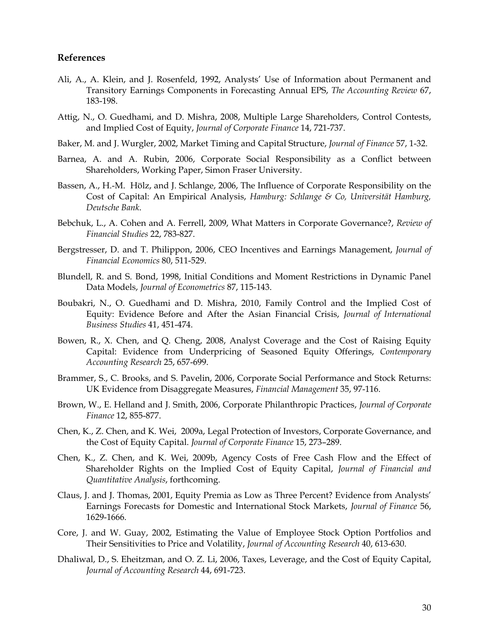# **References**

- Ali, A., A. Klein, and J. Rosenfeld, 1992, Analysts' Use of Information about Permanent and Transitory Earnings Components in Forecasting Annual EPS, *The Accounting Review* 67, 183-198.
- Attig, N., O. Guedhami, and D. Mishra, 2008, Multiple Large Shareholders, Control Contests, and Implied Cost of Equity, *Journal of Corporate Finance* 14, 721-737.
- Baker, M. and J. Wurgler, 2002, Market Timing and Capital Structure, *Journal of Finance* 57, 1-32.
- Barnea, A. and A. Rubin, 2006, Corporate Social Responsibility as a Conflict between Shareholders, Working Paper, Simon Fraser University.
- Bassen, A., H.-M. Hölz, and J. Schlange, 2006, The Influence of Corporate Responsibility on the Cost of Capital: An Empirical Analysis, *Hamburg: Schlange & Co, Universität Hamburg, Deutsche Bank*.
- Bebchuk, L., A. Cohen and A. Ferrell, 2009, What Matters in Corporate Governance?, *Review of Financial Studies* 22, 783-827.
- Bergstresser, D. and T. Philippon, 2006, CEO Incentives and Earnings Management, *Journal of Financial Economics* 80, 511-529.
- Blundell, R. and S. Bond, 1998, Initial Conditions and Moment Restrictions in Dynamic Panel Data Models, *Journal of Econometrics* 87, 115-143.
- Boubakri, N., O. Guedhami and D. Mishra, 2010, Family Control and the Implied Cost of Equity: Evidence Before and After the Asian Financial Crisis, *Journal of International Business Studies* 41, 451-474.
- Bowen, R., X. Chen, and Q. Cheng, 2008, Analyst Coverage and the Cost of Raising Equity Capital: Evidence from Underpricing of Seasoned Equity Offerings, *Contemporary Accounting Research* 25, 657-699.
- Brammer, S., C. Brooks, and S. Pavelin, 2006, Corporate Social Performance and Stock Returns: UK Evidence from Disaggregate Measures, *Financial Management* 35, 97-116.
- Brown, W., E. Helland and J. Smith, 2006, Corporate Philanthropic Practices, *Journal of Corporate Finance* 12, 855-877.
- Chen, K., Z. Chen, and K. Wei, 2009a, Legal Protection of Investors, Corporate Governance, and the Cost of Equity Capital. *Journal of Corporate Finance* 15, 273–289.
- Chen, K., Z. Chen, and K. Wei, 2009b, Agency Costs of Free Cash Flow and the Effect of Shareholder Rights on the Implied Cost of Equity Capital, *Journal of Financial and Quantitative Analysis*, forthcoming.
- Claus, J. and J. Thomas, 2001, Equity Premia as Low as Three Percent? Evidence from Analysts' Earnings Forecasts for Domestic and International Stock Markets, *Journal of Finance* 56, 1629-1666.
- Core, J. and W. Guay, 2002, Estimating the Value of Employee Stock Option Portfolios and Their Sensitivities to Price and Volatility, *Journal of Accounting Research* 40, 613-630.
- Dhaliwal, D., S. Eheitzman, and O. Z. Li, 2006, Taxes, Leverage, and the Cost of Equity Capital, *Journal of Accounting Research* 44, 691-723.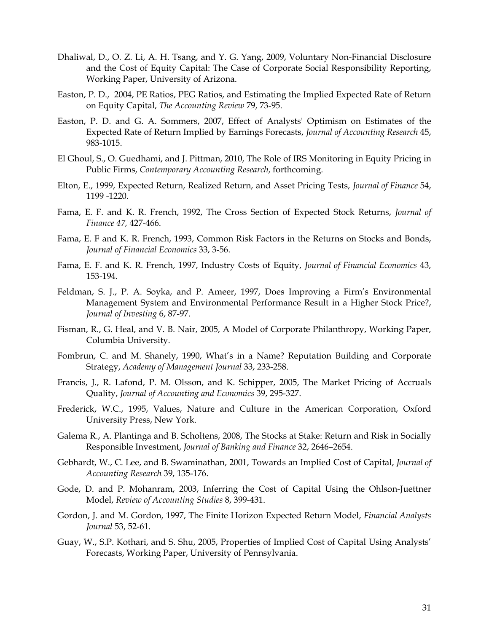- Dhaliwal, D., O. Z. Li, A. H. Tsang, and Y. G. Yang, 2009, Voluntary Non-Financial Disclosure and the Cost of Equity Capital: The Case of Corporate Social Responsibility Reporting, Working Paper, University of Arizona.
- Easton, P. D., 2004, PE Ratios, PEG Ratios, and Estimating the Implied Expected Rate of Return on Equity Capital, *The Accounting Review* 79, 73-95.
- Easton, P. D. and G. A. Sommers, 2007, Effect of Analysts' Optimism on Estimates of the Expected Rate of Return Implied by Earnings Forecasts, *Journal of Accounting Research* 45, 983-1015.
- El Ghoul, S., O. Guedhami, and J. Pittman, 2010, The Role of IRS Monitoring in Equity Pricing in Public Firms, *Contemporary Accounting Research*, forthcoming.
- Elton, E., 1999, Expected Return, Realized Return, and Asset Pricing Tests, *Journal of Finance* 54, 1199 -1220.
- Fama, E. F. and K. R. French, 1992, The Cross Section of Expected Stock Returns, *Journal of Finance 47,* 427-466.
- Fama, E. F and K. R. French, 1993, Common Risk Factors in the Returns on Stocks and Bonds, *Journal of Financial Economics* 33, 3-56.
- Fama, E. F. and K. R. French, 1997, Industry Costs of Equity, *Journal of Financial Economics* 43, 153-194.
- Feldman, S. J., P. A. Soyka, and P. Ameer, 1997, Does Improving a Firm's Environmental Management System and Environmental Performance Result in a Higher Stock Price?, *Journal of Investing* 6, 87-97.
- Fisman, R., G. Heal, and V. B. Nair, 2005, A Model of Corporate Philanthropy, Working Paper, Columbia University.
- Fombrun, C. and M. Shanely, 1990, What's in a Name? Reputation Building and Corporate Strategy, *Academy of Management Journal* 33, 233-258.
- Francis, J., R. Lafond, P. M. Olsson, and K. Schipper, 2005, The Market Pricing of Accruals Quality, *Journal of Accounting and Economics* 39, 295-327.
- Frederick, W.C., 1995, Values, Nature and Culture in the American Corporation, Oxford University Press, New York.
- Galema R., A. Plantinga and B. Scholtens, 2008, The Stocks at Stake: Return and Risk in Socially Responsible Investment, *Journal of Banking and Finance* 32, 2646–2654.
- Gebhardt, W., C. Lee, and B. Swaminathan, 2001, Towards an Implied Cost of Capital, *Journal of Accounting Research* 39, 135-176.
- Gode, D. and P. Mohanram, 2003, Inferring the Cost of Capital Using the Ohlson-Juettner Model, *Review of Accounting Studies* 8, 399-431.
- Gordon, J. and M. Gordon, 1997, The Finite Horizon Expected Return Model, *Financial Analysts Journal* 53, 52-61.
- Guay, W., S.P. Kothari, and S. Shu, 2005, Properties of Implied Cost of Capital Using Analysts' Forecasts, Working Paper, University of Pennsylvania.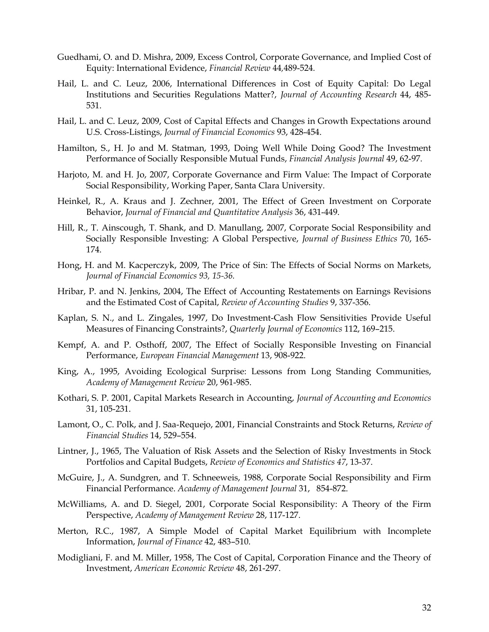- Guedhami, O. and D. Mishra, 2009, Excess Control, Corporate Governance, and Implied Cost of Equity: International Evidence, *Financial Review* 44*,*489-524*.*
- Hail, L. and C. Leuz, 2006, International Differences in Cost of Equity Capital: Do Legal Institutions and Securities Regulations Matter?, *Journal of Accounting Research* 44, 485- 531.
- Hail, L. and C. Leuz, 2009, Cost of Capital Effects and Changes in Growth Expectations around U.S. Cross-Listings, *Journal of Financial Economics* 93, 428-454.
- Hamilton, S., H. Jo and M. Statman, 1993, Doing Well While Doing Good? The Investment Performance of Socially Responsible Mutual Funds, *Financial Analysis Journal* 49, 62-97.
- Harjoto, M. and H. Jo, 2007, Corporate Governance and Firm Value: The Impact of Corporate Social Responsibility, Working Paper, Santa Clara University*.*
- Heinkel, R., A. Kraus and J. Zechner, 2001, The Effect of Green Investment on Corporate Behavior, *Journal of Financial and Quantitative Analysis* 36, 431-449.
- Hill, R., T. Ainscough, T. Shank, and D. Manullang, 2007, Corporate Social Responsibility and Socially Responsible Investing: A Global Perspective, *Journal of Business Ethics* 70, 165- 174.
- Hong, H. and M. Kacperczyk, 2009, The Price of Sin: The Effects of Social Norms on Markets, *Journal of Financial Economics 93, 15-36.*
- Hribar, P. and N. Jenkins, 2004, The Effect of Accounting Restatements on Earnings Revisions and the Estimated Cost of Capital, *Review of Accounting Studies* 9, 337-356.
- Kaplan, S. N., and L. Zingales, 1997, Do Investment-Cash Flow Sensitivities Provide Useful Measures of Financing Constraints?, *Quarterly Journal of Economics* 112, 169–215.
- Kempf, A. and P. Osthoff, 2007, The Effect of Socially Responsible Investing on Financial Performance, *European Financial Management* 13, 908-922.
- King, A., 1995, Avoiding Ecological Surprise: Lessons from Long Standing Communities, *Academy of Management Review* 20, 961-985.
- Kothari, S. P. 2001, Capital Markets Research in Accounting, *Journal of Accounting and Economics* 31, 105-231.
- Lamont, O., C. Polk, and J. Saa-Requejo, 2001, Financial Constraints and Stock Returns, *Review of Financial Studies* 14, 529–554.
- Lintner, J., 1965, The Valuation of Risk Assets and the Selection of Risky Investments in Stock Portfolios and Capital Budgets, *Review of Economics and Statistics 47*, 13-37.
- McGuire, J., A. Sundgren, and T. Schneeweis, 1988, Corporate Social Responsibility and Firm Financial Performance. *Academy of Management Journal* 31, 854-872.
- McWilliams, A. and D. Siegel, 2001, Corporate Social Responsibility: A Theory of the Firm Perspective, *Academy of Management Review* 28, 117-127.
- Merton, R.C., 1987, A Simple Model of Capital Market Equilibrium with Incomplete Information, *Journal of Finance* 42, 483–510.
- Modigliani, F. and M. Miller, 1958, The Cost of Capital, Corporation Finance and the Theory of Investment, *American Economic Review* 48, 261-297.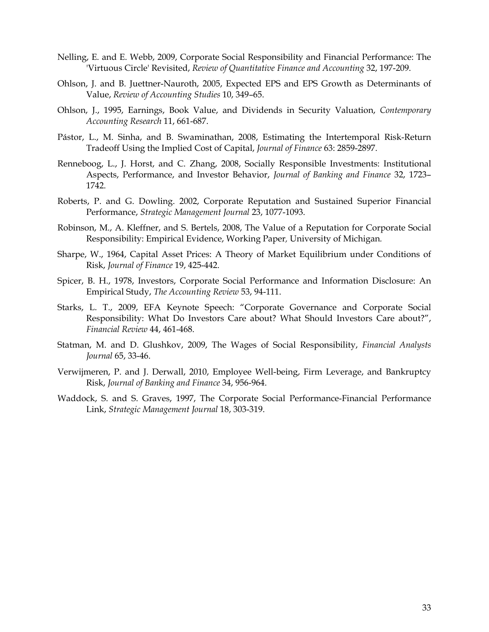- Nelling, E. and E. Webb, 2009, Corporate Social Responsibility and Financial Performance: The 'Virtuous Circle' Revisited, *Review of Quantitative Finance and Accounting* 32, 197-209.
- Ohlson, J. and B. Juettner-Nauroth, 2005, Expected EPS and EPS Growth as Determinants of Value, *Review of Accounting Studies* 10, 349–65.
- Ohlson, J., 1995, Earnings, Book Value, and Dividends in Security Valuation, *Contemporary Accounting Research* 11, 661-687.
- Pástor, L., M. Sinha, and B. Swaminathan, 2008, Estimating the Intertemporal Risk-Return Tradeoff Using the Implied Cost of Capital, *Journal of Finance* 63: 2859-2897.
- Renneboog, L., J. Horst, and C. Zhang, 2008, Socially Responsible Investments: Institutional Aspects, Performance, and Investor Behavior, *Journal of Banking and Finance* 32, 1723– 1742.
- Roberts, P. and G. Dowling. 2002, Corporate Reputation and Sustained Superior Financial Performance, *Strategic Management Journal* 23, 1077-1093.
- Robinson, M., A. Kleffner, and S. Bertels, 2008, The Value of a Reputation for Corporate Social Responsibility: Empirical Evidence, Working Paper*,* University of Michigan*.*
- Sharpe, W., 1964, Capital Asset Prices: A Theory of Market Equilibrium under Conditions of Risk, *Journal of Finance* 19, 425-442.
- Spicer, B. H., 1978, Investors, Corporate Social Performance and Information Disclosure: An Empirical Study, *The Accounting Review* 53, 94-111.
- Starks, L. T., 2009, EFA Keynote Speech: "Corporate Governance and Corporate Social Responsibility: What Do Investors Care about? What Should Investors Care about?", *Financial Review* 44, 461-468.
- Statman, M. and D. Glushkov, 2009, The Wages of Social Responsibility, *Financial Analysts Journal* 65, 33-46.
- Verwijmeren, P. and J. Derwall, 2010, Employee Well-being, Firm Leverage, and Bankruptcy Risk, *Journal of Banking and Finance* 34, 956-964.
- Waddock, S. and S. Graves, 1997, The Corporate Social Performance-Financial Performance Link, *Strategic Management Journal* 18, 303-319.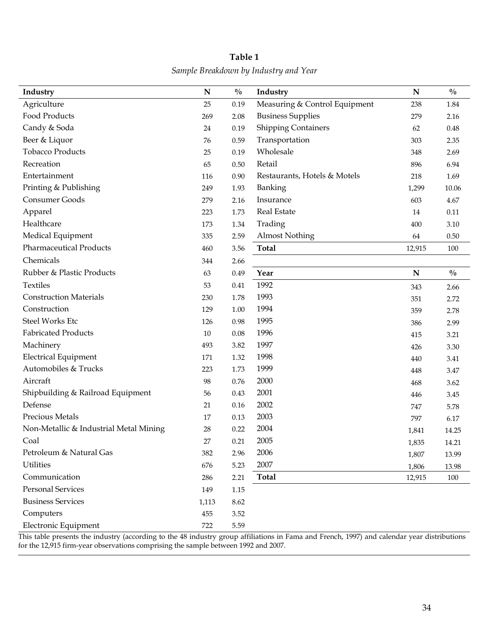| Industry                               | N      | $\frac{0}{0}$ | Industry                      | N      | $\frac{0}{0}$ |
|----------------------------------------|--------|---------------|-------------------------------|--------|---------------|
| Agriculture                            | 25     | 0.19          | Measuring & Control Equipment | 238    | 1.84          |
| Food Products                          | 269    | 2.08          | <b>Business Supplies</b>      | 279    | 2.16          |
| Candy & Soda                           | 24     | 0.19          | <b>Shipping Containers</b>    | 62     | 0.48          |
| Beer & Liquor                          | 76     | 0.59          | Transportation                | 303    | 2.35          |
| <b>Tobacco Products</b>                | 25     | 0.19          | Wholesale                     | 348    | 2.69          |
| Recreation                             | 65     | $0.50\,$      | Retail                        | 896    | 6.94          |
| Entertainment                          | 116    | 0.90          | Restaurants, Hotels & Motels  | 218    | 1.69          |
| Printing & Publishing                  | 249    | 1.93          | Banking                       | 1,299  | 10.06         |
| Consumer Goods                         | 279    | 2.16          | Insurance                     | 603    | 4.67          |
| Apparel                                | 223    | 1.73          | <b>Real Estate</b>            | 14     | 0.11          |
| Healthcare                             | 173    | 1.34          | Trading                       | 400    | 3.10          |
| Medical Equipment                      | 335    | 2.59          | <b>Almost Nothing</b>         | 64     | 0.50          |
| <b>Pharmaceutical Products</b>         | 460    | 3.56          | <b>Total</b>                  | 12,915 | 100           |
| Chemicals                              | 344    | 2.66          |                               |        |               |
| Rubber & Plastic Products              | 63     | 0.49          | Year                          | N      | $\frac{0}{0}$ |
| <b>Textiles</b>                        | 53     | 0.41          | 1992                          | 343    | 2.66          |
| <b>Construction Materials</b>          | 230    | 1.78          | 1993                          | 351    | 2.72          |
| Construction                           | 129    | $1.00\,$      | 1994                          | 359    | 2.78          |
| <b>Steel Works Etc</b>                 | 126    | 0.98          | 1995                          | 386    | 2.99          |
| <b>Fabricated Products</b>             | 10     | $0.08\,$      | 1996                          | 415    | 3.21          |
| Machinery                              | 493    | 3.82          | 1997                          | 426    | 3.30          |
| <b>Electrical Equipment</b>            | 171    | 1.32          | 1998                          | 440    | 3.41          |
| Automobiles & Trucks                   | 223    | 1.73          | 1999                          | 448    | 3.47          |
| Aircraft                               | 98     | 0.76          | 2000                          | 468    | 3.62          |
| Shipbuilding & Railroad Equipment      | 56     | 0.43          | 2001                          | 446    | 3.45          |
| Defense                                | 21     | $0.16\,$      | 2002                          | 747    | 5.78          |
| Precious Metals                        | 17     | 0.13          | 2003                          | 797    | 6.17          |
| Non-Metallic & Industrial Metal Mining | 28     | 0.22          | 2004                          | 1,841  | 14.25         |
| Coal                                   | $27\,$ | 0.21          | 2005                          | 1,835  | 14.21         |
| Petroleum & Natural Gas                | 382    | 2.96          | 2006                          | 1,807  | 13.99         |
| <b>Utilities</b>                       | 676    | 5.23          | 2007                          | 1,806  | 13.98         |
| Communication                          | 286    | 2.21          | <b>Total</b>                  | 12,915 | 100           |
| <b>Personal Services</b>               | 149    | 1.15          |                               |        |               |
| <b>Business Services</b>               | 1,113  | 8.62          |                               |        |               |
| Computers                              | 455    | 3.52          |                               |        |               |
| Electronic Equipment                   | 722    | 5.59          |                               |        |               |

# **Table 1**  *Sample Breakdown by Industry and Year*

This table presents the industry (according to the 48 industry group affiliations in Fama and French, 1997) and calendar year distributions for the 12,915 firm-year observations comprising the sample between 1992 and 2007.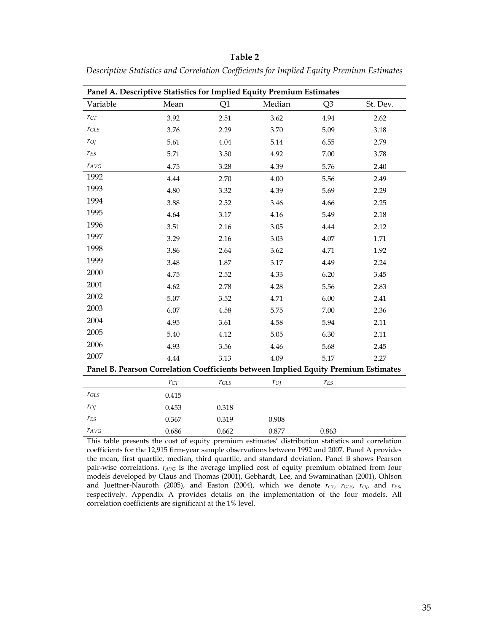|           | Panel A. Descriptive Statistics for Implied Equity Premium Estimates               |           |         |                |          |
|-----------|------------------------------------------------------------------------------------|-----------|---------|----------------|----------|
| Variable  | Mean                                                                               | Q1        | Median  | Q <sub>3</sub> | St. Dev. |
| $r_{CT}$  | 3.92                                                                               | 2.51      | 3.62    | 4.94           | 2.62     |
| $r_{GLS}$ | 3.76                                                                               | 2.29      | 3.70    | 5.09           | 3.18     |
| $r_{OI}$  | 5.61                                                                               | 4.04      | 5.14    | 6.55           | 2.79     |
| $r_{ES}$  | 5.71                                                                               | 3.50      | 4.92    | 7.00           | 3.78     |
| $r_{AVG}$ | 4.75                                                                               | 3.28      | 4.39    | 5.76           | 2.40     |
| 1992      | 4.44                                                                               | 2.70      | 4.00    | 5.56           | 2.49     |
| 1993      | 4.80                                                                               | 3.32      | 4.39    | 5.69           | 2.29     |
| 1994      | 3.88                                                                               | 2.52      | 3.46    | 4.66           | 2.25     |
| 1995      | 4.64                                                                               | 3.17      | 4.16    | 5.49           | 2.18     |
| 1996      | 3.51                                                                               | 2.16      | 3.05    | 4.44           | 2.12     |
| 1997      | 3.29                                                                               | 2.16      | 3.03    | 4.07           | 1.71     |
| 1998      | 3.86                                                                               | 2.64      | 3.62    | 4.71           | 1.92     |
| 1999      | 3.48                                                                               | 1.87      | 3.17    | 4.49           | 2.24     |
| 2000      | 4.75                                                                               | 2.52      | 4.33    | 6.20           | 3.45     |
| 2001      | 4.62                                                                               | 2.78      | 4.28    | 5.56           | 2.83     |
| 2002      | 5.07                                                                               | 3.52      | 4.71    | 6.00           | 2.41     |
| 2003      | 6.07                                                                               | 4.58      | 5.75    | 7.00           | 2.36     |
| 2004      | 4.95                                                                               | 3.61      | 4.58    | 5.94           | 2.11     |
| 2005      | 5.40                                                                               | 4.12      | 5.05    | 6.30           | 2.11     |
| 2006      | 4.93                                                                               | 3.56      | 4.46    | 5.68           | 2.45     |
| 2007      | 4.44                                                                               | 3.13      | 4.09    | 5.17           | 2.27     |
|           | Panel B. Pearson Correlation Coefficients between Implied Equity Premium Estimates |           |         |                |          |
|           | $r_{CT}$                                                                           | $r_{GLS}$ | $r_{O}$ | $r_{ES}$       |          |
| $r_{GLS}$ | 0.415                                                                              |           |         |                |          |
| $r_{O}$   | 0.453                                                                              | 0.318     |         |                |          |
| $r_{ES}$  | 0.367                                                                              | 0.319     | 0.908   |                |          |
| $r_{AVG}$ | 0.686                                                                              | 0.662     | 0.877   | 0.863          |          |

*Descriptive Statistics and Correlation Coefficients for Implied Equity Premium Estimates* 

This table presents the cost of equity premium estimates' distribution statistics and correlation coefficients for the 12,915 firm-year sample observations between 1992 and 2007. Panel A provides the mean, first quartile, median, third quartile, and standard deviation. Panel B shows Pearson pair-wise correlations. *rAVG* is the average implied cost of equity premium obtained from four models developed by Claus and Thomas (2001), Gebhardt, Lee, and Swaminathan (2001), Ohlson and Juettner-Nauroth (2005), and Easton (2004), which we denote  $r_{CT}$ ,  $r_{GLS}$ ,  $r_{OJ}$ , and  $r_{ES}$ , respectively. Appendix A provides details on the implementation of the four models. All correlation coefficients are significant at the 1% level.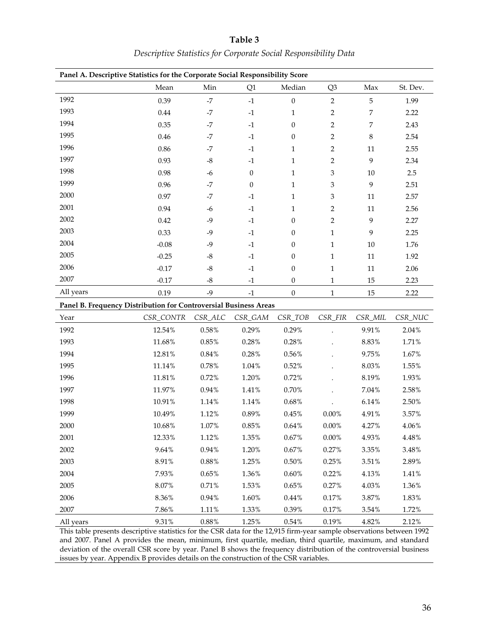|           | Panel A. Descriptive Statistics for the Corporate Social Responsibility Score |             |                  |                  |                |                  |          |
|-----------|-------------------------------------------------------------------------------|-------------|------------------|------------------|----------------|------------------|----------|
|           | Mean                                                                          | Min         | Q1               | Median           | Q <sub>3</sub> | Max              | St. Dev. |
| 1992      | 0.39                                                                          | $-7$        | $-1$             | $\boldsymbol{0}$ | $\overline{2}$ | $\mathbf 5$      | 1.99     |
| 1993      | 0.44                                                                          | $-7$        | $-1$             | 1                | 2              | 7                | 2.22     |
| 1994      | 0.35                                                                          | $-7$        | $-1$             | $\mathbf{0}$     | 2              | 7                | 2.43     |
| 1995      | 0.46                                                                          | $-7$        | $-1$             | $\boldsymbol{0}$ | 2              | $\,8\,$          | 2.54     |
| 1996      | 0.86                                                                          | $-7$        | $-1$             | 1                | 2              | 11               | 2.55     |
| 1997      | 0.93                                                                          | $\mbox{-}8$ | $-1$             | 1                | 2              | $\boldsymbol{9}$ | 2.34     |
| 1998      | 0.98                                                                          | $-6$        | $\boldsymbol{0}$ | 1                | 3              | 10               | 2.5      |
| 1999      | 0.96                                                                          | $-7$        | $\boldsymbol{0}$ | 1                | 3              | 9                | 2.51     |
| 2000      | 0.97                                                                          | $-7$        | $-1$             | 1                | 3              | 11               | 2.57     |
| 2001      | 0.94                                                                          | $-6$        | $-1$             | 1                | 2              | 11               | 2.56     |
| 2002      | 0.42                                                                          | $-9$        | $-1$             | $\boldsymbol{0}$ | 2              | $\boldsymbol{9}$ | 2.27     |
| 2003      | 0.33                                                                          | $-9$        | $-1$             | 0                | 1              | 9                | 2.25     |
| 2004      | $-0.08$                                                                       | $-9$        | $-1$             | 0                | 1              | 10               | 1.76     |
| 2005      | $-0.25$                                                                       | $\text{-}8$ | $-1$             | 0                | $\mathbf{1}$   | 11               | 1.92     |
| 2006      | $-0.17$                                                                       | $-8$        | $-1$             | $\boldsymbol{0}$ | $\mathbf{1}$   | 11               | 2.06     |
| 2007      | $-0.17$                                                                       | $\mbox{-}8$ | $\textbf{-1}$    | $\boldsymbol{0}$ | $\mathbf{1}$   | 15               | 2.23     |
| All years | 0.19                                                                          | $-9$        | $-1$             | $\boldsymbol{0}$ | $\mathbf{1}$   | 15               | 2.22     |
|           | Panel B. Frequency Distribution for Controversial Business Areas              |             |                  |                  |                |                  |          |
| Year      | CSR_CONTR                                                                     | $CSR\_ALC$  | CSR_GAM          | CSR_TOB          | CSR_FIR        | CSR_MIL          | CSR_NUC  |
| 1992      | 12.54%                                                                        | $0.58\%$    | 0.29%            | 0.29%            |                | 9.91%            | 2.04%    |
| 1993      | 11.68%                                                                        | 0.85%       | 0.28%            | 0.28%            |                | 8.83%            | 1.71%    |
| 1994      | 12.81%                                                                        | 0.84%       | 0.28%            | 0.56%            |                | 9.75%            | 1.67%    |
| 1995      | 11.14%                                                                        | 0.78%       | $1.04\%$         | 0.52%            |                | 8.03%            | 1.55%    |
| 1996      | 11.81%                                                                        | 0.72%       | 1.20%            | 0.72%            |                | 8.19%            | 1.93%    |
| 1997      | 11.97%                                                                        | 0.94%       | $1.41\%$         | 0.70%            |                | 7.04%            | 2.58%    |
| 1998      | 10.91%                                                                        | 1.14%       | 1.14%            | $0.68\%$         |                | 6.14%            | 2.50%    |
| 1999      | 10.49%                                                                        | 1.12%       | 0.89%            | $0.45\%$         | $0.00\%$       | 4.91%            | 3.57%    |
| 2000      | 10.68%                                                                        | 1.07%       | $0.85\%$         | $0.64\%$         | $0.00\%$       | 4.27%            | 4.06%    |
| 2001      | 12.33%                                                                        | 1.12%       | 1.35%            | 0.67%            | $0.00\%$       | 4.93%            | $4.48\%$ |
| 2002      | 9.64%                                                                         | $0.94\%$    | 1.20%            | $0.67\%$         | 0.27%          | 3.35%            | 3.48%    |
| 2003      | 8.91%                                                                         | $0.88\%$    | 1.25%            | 0.50%            | 0.25%          | 3.51%            | 2.89%    |
| 2004      | 7.93%                                                                         | 0.65%       | 1.36%            | 0.60%            | 0.22%          | 4.13%            | 1.41%    |
| 2005      | $8.07\%$                                                                      | $0.71\%$    | 1.53%            | 0.65%            | 0.27%          | 4.03%            | 1.36%    |
| 2006      | 8.36%                                                                         | 0.94%       | 1.60%            | 0.44%            | 0.17%          | 3.87%            | 1.83%    |
| 2007      | 7.86%                                                                         | $1.11\%$    | 1.33%            | 0.39%            | 0.17%          | 3.54%            | 1.72%    |
| All years | 9.31%                                                                         | $0.88\%$    | 1.25%            | 0.54%            | 0.19%          | 4.82%            | 2.12%    |

# **Table 3**  *Descriptive Statistics for Corporate Social Responsibility Data*

This table presents descriptive statistics for the CSR data for the 12,915 firm-year sample observations between 1992 and 2007. Panel A provides the mean, minimum, first quartile, median, third quartile, maximum, and standard deviation of the overall CSR score by year. Panel B shows the frequency distribution of the controversial business issues by year. Appendix B provides details on the construction of the CSR variables.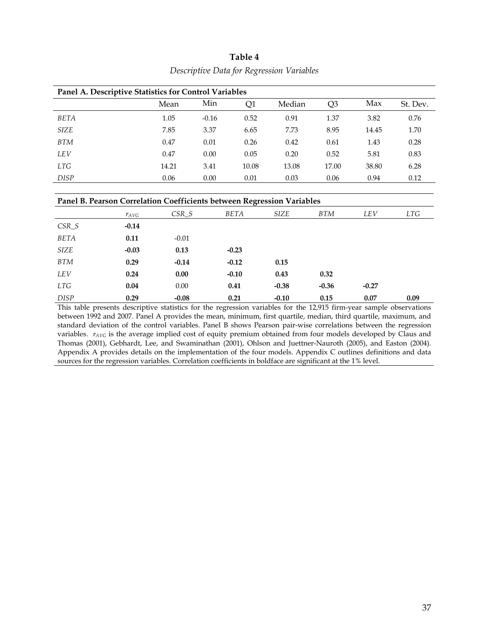| Panel A. Descriptive Statistics for Control Variables |       |         |       |        |                |       |          |
|-------------------------------------------------------|-------|---------|-------|--------|----------------|-------|----------|
|                                                       | Mean  | Min     | Q1    | Median | Q <sub>3</sub> | Max   | St. Dev. |
| <b>BETA</b>                                           | 1.05  | $-0.16$ | 0.52  | 0.91   | 1.37           | 3.82  | 0.76     |
| <b>SIZE</b>                                           | 7.85  | 3.37    | 6.65  | 7.73   | 8.95           | 14.45 | 1.70     |
| <b>BTM</b>                                            | 0.47  | 0.01    | 0.26  | 0.42   | 0.61           | 1.43  | 0.28     |
| <b>LEV</b>                                            | 0.47  | 0.00    | 0.05  | 0.20   | 0.52           | 5.81  | 0.83     |
| <b>LTG</b>                                            | 14.21 | 3.41    | 10.08 | 13.08  | 17.00          | 38.80 | 6.28     |
| <b>DISP</b>                                           | 0.06  | 0.00    | 0.01  | 0.03   | 0.06           | 0.94  | 0.12     |

# **Table 4**  *Descriptive Data for Regression Variables*

#### **Panel B. Pearson Correlation Coefficients between Regression Variables**

|             | $\mathcal{V}$ AVG | $CSR_S$ | BETA    | SIZE    | <b>BTM</b> | <b>LEV</b> | LTG  |
|-------------|-------------------|---------|---------|---------|------------|------------|------|
| $CSR_S$     | $-0.14$           |         |         |         |            |            |      |
| BETA        | 0.11              | $-0.01$ |         |         |            |            |      |
| SIZE        | $-0.03$           | 0.13    | $-0.23$ |         |            |            |      |
| <b>BTM</b>  | 0.29              | $-0.14$ | $-0.12$ | 0.15    |            |            |      |
| <b>LEV</b>  | 0.24              | 0.00    | $-0.10$ | 0.43    | 0.32       |            |      |
| <b>LTG</b>  | 0.04              | 0.00    | 0.41    | $-0.38$ | $-0.36$    | $-0.27$    |      |
| <b>DISP</b> | 0.29              | $-0.08$ | 0.21    | $-0.10$ | 0.15       | 0.07       | 0.09 |

This table presents descriptive statistics for the regression variables for the 12,915 firm-year sample observations between 1992 and 2007. Panel A provides the mean, minimum, first quartile, median, third quartile, maximum, and standard deviation of the control variables. Panel B shows Pearson pair-wise correlations between the regression variables. *r<sub>AVG</sub>* is the average implied cost of equity premium obtained from four models developed by Claus and Thomas (2001), Gebhardt, Lee, and Swaminathan (2001), Ohlson and Juettner-Nauroth (2005), and Easton (2004). Appendix A provides details on the implementation of the four models. Appendix C outlines definitions and data sources for the regression variables. Correlation coefficients in boldface are significant at the 1% level.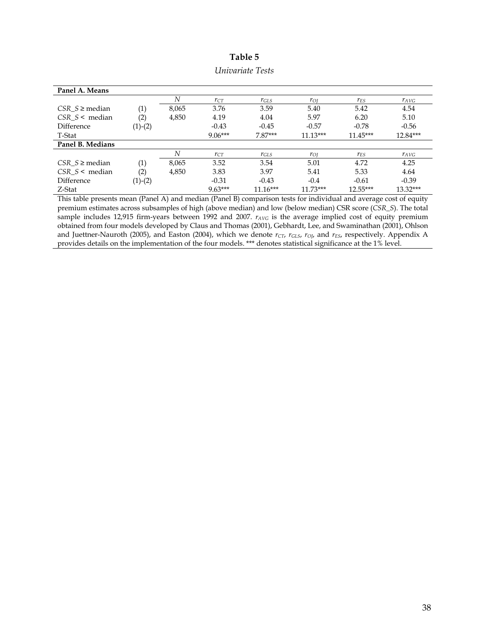| Panel A. Means     |                   |       |           |            |            |            |           |
|--------------------|-------------------|-------|-----------|------------|------------|------------|-----------|
|                    |                   | N     | $r_{CT}$  | $r_{GLS}$  | $r_{OI}$   | $r_{ES}$   | $r_{AVG}$ |
| $CSR_S\geq median$ | (1)               | 8,065 | 3.76      | 3.59       | 5.40       | 5.42       | 4.54      |
| $CSR S$ < median   | (2)               | 4,850 | 4.19      | 4.04       | 5.97       | 6.20       | 5.10      |
| Difference         | $(1)-(2)$         |       | $-0.43$   | $-0.45$    | $-0.57$    | $-0.78$    | $-0.56$   |
| T-Stat             |                   |       | $9.06***$ | $7.87***$  | $11.13***$ | $11.45***$ | 12.84***  |
| Panel B. Medians   |                   |       |           |            |            |            |           |
|                    |                   | N     | $r_{CT}$  | $r_{GLS}$  | $r_{OI}$   | $r_{ES}$   | $r_{AVG}$ |
| $CSR_S\geq median$ | $\left( 1\right)$ | 8,065 | 3.52      | 3.54       | 5.01       | 4.72       | 4.25      |
| $CSR S$ < median   | (2)               | 4,850 | 3.83      | 3.97       | 5.41       | 5.33       | 4.64      |
| Difference         | $(1)-(2)$         |       | $-0.31$   | $-0.43$    | $-0.4$     | $-0.61$    | $-0.39$   |
| Z-Stat             |                   |       | $9.63***$ | $11.16***$ | $11.73***$ | 12.55***   | 13.32***  |

**Table 5** 

| Univariate Tests |  |
|------------------|--|
|------------------|--|

This table presents mean (Panel A) and median (Panel B) comparison tests for individual and average cost of equity premium estimates across subsamples of high (above median) and low (below median) CSR score (*CSR\_S*). The total sample includes 12,915 firm-years between 1992 and 2007.  $r_{AVG}$  is the average implied cost of equity premium obtained from four models developed by Claus and Thomas (2001), Gebhardt, Lee, and Swaminathan (2001), Ohlson and Juettner-Nauroth (2005), and Easton (2004), which we denote  $r_{CT}$ ,  $r_{GLS}$ ,  $r_{OJ}$ , and  $r_{ES}$ , respectively. Appendix A provides details on the implementation of the four models. \*\*\* denotes statistical significance at the 1% level.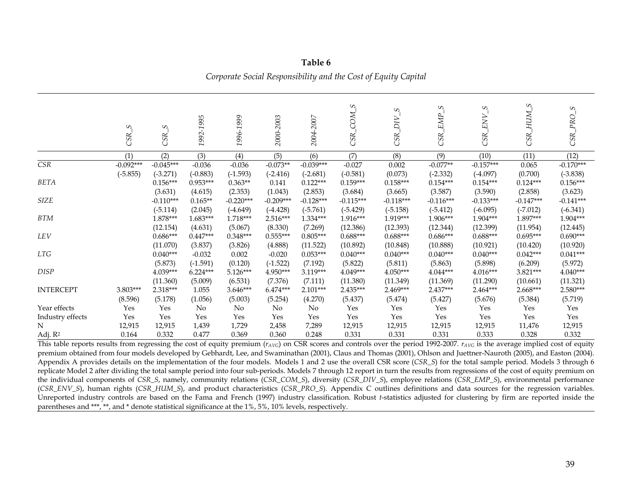|                                  | S<br>CSR.                 | S<br>CSR.                 | 1992-1995                | 1996-1999                 | 2000-2003                 | 2004-2007                 | S<br>COM <sub>.</sub><br>CSR. | S.<br>$\overline{DIV}$<br>CSR <sub>.</sub> | S<br>EMP<br>CSR.          | S<br>ENV<br>CSR.          | $\mathcal{L}$<br>NUH_<br>CSR. | $\omega$<br>CSR_PRO       |
|----------------------------------|---------------------------|---------------------------|--------------------------|---------------------------|---------------------------|---------------------------|-------------------------------|--------------------------------------------|---------------------------|---------------------------|-------------------------------|---------------------------|
|                                  | (1)                       | (2)                       | (3)                      | (4)                       | (5)                       | (6)                       | (7)                           | (8)                                        | (9)                       | (10)                      | (11)                          | (12)                      |
| $\overline{\text{CSR}}$          | $-0.092***$<br>$(-5.855)$ | $-0.045***$<br>$(-3.271)$ | $-0.036$<br>$(-0.883)$   | $-0.036$<br>$(-1.593)$    | $-0.073**$<br>$(-2.416)$  | $-0.039***$<br>$(-2.681)$ | $-0.027$<br>$(-0.581)$        | 0.002<br>(0.073)                           | $-0.077**$<br>$(-2.332)$  | $-0.157***$<br>$(-4.097)$ | 0.065<br>(0.700)              | $-0.170***$<br>$(-3.838)$ |
| BETA                             |                           | $0.156***$<br>(3.631)     | $0.953***$<br>(4.615)    | $0.363**$<br>(2.353)      | 0.141<br>(1.043)          | $0.122***$<br>(2.853)     | $0.159***$<br>(3.684)         | $0.158***$<br>(3.665)                      | $0.154***$<br>(3.587)     | $0.154***$<br>(3.590)     | $0.124***$<br>(2.858)         | $0.156***$<br>(3.623)     |
| <b>SIZE</b>                      |                           | $-0.110***$<br>$(-5.114)$ | $0.165**$<br>(2.045)     | $-0.220***$<br>$(-4.649)$ | $-0.209***$<br>$(-4.428)$ | $-0.128***$<br>$(-5.761)$ | $-0.115***$<br>$(-5.429)$     | $-0.118***$<br>$(-5.158)$                  | $-0.116***$<br>$(-5.412)$ | $-0.133***$<br>$(-6.095)$ | $-0.147***$<br>$(-7.012)$     | $-0.141***$<br>$(-6.341)$ |
| <b>BTM</b>                       |                           | 1.878***                  | 1.683***                 | 1.718***                  | $2.516***$                | 1.334***                  | $1.916***$                    | 1.919***                                   | 1.906***                  | 1.904***                  | 1.897***                      | 1.904***                  |
| <b>LEV</b>                       |                           | (12.154)<br>$0.686***$    | (4.631)<br>$0.447***$    | (5.067)<br>$0.348***$     | (8.330)<br>$0.555***$     | (7.269)<br>$0.805***$     | (12.386)<br>$0.688***$        | (12.393)<br>$0.688***$                     | (12.344)<br>$0.686***$    | (12.399)<br>$0.688***$    | (11.954)<br>$0.695***$        | (12.445)<br>$0.690***$    |
| LTG                              |                           | (11.070)<br>$0.040***$    | (3.837)<br>$-0.032$      | (3.826)<br>0.002          | (4.888)<br>$-0.020$       | (11.522)<br>$0.053***$    | (10.892)<br>$0.040***$        | (10.848)<br>$0.040***$                     | (10.888)<br>$0.040***$    | (10.921)<br>$0.040***$    | (10.420)<br>$0.042***$        | (10.920)<br>$0.041***$    |
| <b>DISP</b>                      |                           | (5.873)<br>4.039***       | $(-1.591)$<br>$6.224***$ | (0.120)<br>5.126***       | $(-1.522)$<br>$4.950***$  | (7.192)<br>3.119***       | (5.822)<br>$4.049***$         | (5.811)<br>$4.050***$                      | (5.863)<br>$4.044***$     | (5.898)<br>$4.016***$     | (6.209)<br>$3.821***$         | (5.972)<br>$4.040***$     |
| <b>INTERCEPT</b>                 | 3.803***                  | (11.360)<br>2.318***      | (5.009)<br>1.055         | (6.531)<br>3.646***       | (7.376)<br>$6.474***$     | (7.111)<br>2.101***       | (11.380)<br>2.435***          | (11.349)<br>2.469***                       | (11.369)<br>2.437***      | (11.290)<br>2.464***      | (10.661)<br>2.668***          | (11.321)<br>2.580***      |
|                                  | (8.596)<br>Yes            | (5.178)<br>Yes            | (1.056)                  | (5.003)<br>No             | (5.254)                   | (4.270)                   | (5.437)<br>Yes                | (5.474)<br>Yes                             | (5.427)<br>Yes            | (5.676)<br>Yes            | (5.384)<br>Yes                | (5.719)<br>Yes            |
| Year effects<br>Industry effects | Yes                       | Yes                       | No<br>Yes                | Yes                       | No<br>Yes                 | No<br>Yes                 | Yes                           | Yes                                        | Yes                       | Yes                       | Yes                           | Yes                       |
| N                                | 12,915                    | 12,915                    | 1,439                    | 1,729                     | 2,458                     | 7,289                     | 12,915                        | 12,915                                     | 12,915                    | 12,915                    | 11,476                        | 12,915                    |
| Adj. R <sup>2</sup>              | 0.164                     | 0.332                     | 0.477                    | 0.369                     | 0.360                     | 0.248                     | 0.331                         | 0.331                                      | 0.331                     | 0.333                     | 0.328                         | 0.332                     |

**Table 6** *Corporate Social Responsibility and the Cost of Equity Capital* 

This table reports results from regressing the cost of equity premium  $(r_{AVG})$  on CSR scores and controls over the period 1992-2007.  $r_{AVG}$  is the average implied cost of equity premium obtained from four models developed by Gebhardt, Lee, and Swaminathan (2001), Claus and Thomas (2001), Ohlson and Juettner-Nauroth (2005), and Easton (2004). Appendix A provides details on the implementation of the four models. Models 1 and 2 use the overall CSR score (*CSR\_S*) for the total sample period. Models 3 through 6 replicate Model 2 after dividing the total sample period into four sub-periods. Models 7 through 12 report in turn the results from regressions of the cost of equity premium on the individual components of *CSR\_S*, namely, community relations (*CSR\_COM\_S*), diversity (*CSR\_DIV\_S*), employee relations (*CSR\_EMP\_S*), environmental performance (*CSR\_ENV\_S*), human rights (*CSR\_HUM\_S*), and product characteristics (*CSR\_PRO\_S*). Appendix C outlines definitions and data sources for the regression variables. Unreported industry controls are based on the Fama and French (1997) industry classification. Robust *t*-statistics adjusted for clustering by firm are reported inside the parentheses and \*\*\*, \*\*, and \* denote statistical significance at the 1%, 5%, 10% levels, respectively.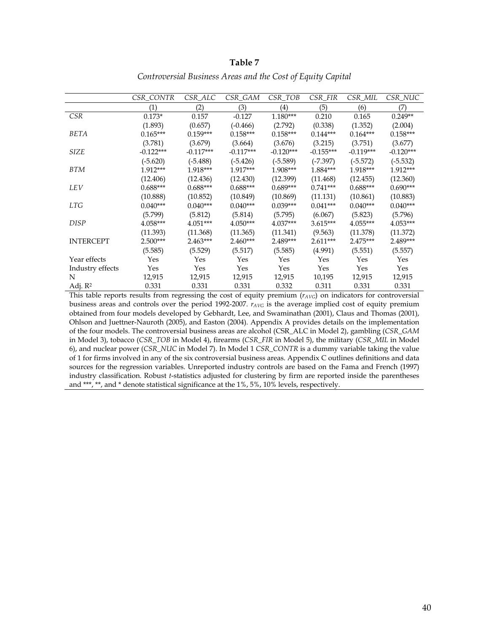|                     | CSR CONTR   | CSR_ALC     | CSR GAM     | CSR TOB     | CSR FIR     | CSR MIL     | CSR_NUC     |
|---------------------|-------------|-------------|-------------|-------------|-------------|-------------|-------------|
|                     | (1)         | (2)         | (3)         | (4)         | (5)         | (6)         | (7)         |
| <i>CSR</i>          | $0.173*$    | 0.157       | $-0.127$    | $1.180***$  | 0.210       | 0.165       | $0.249**$   |
|                     | (1.893)     | (0.657)     | $(-0.466)$  | (2.792)     | (0.338)     | (1.352)     | (2.004)     |
| <b>BETA</b>         | $0.165***$  | $0.159***$  | $0.158***$  | $0.158***$  | $0.144***$  | $0.164***$  | $0.158***$  |
|                     | (3.781)     | (3.679)     | (3.664)     | (3.676)     | (3.215)     | (3.751)     | (3.677)     |
| <b>SIZE</b>         | $-0.122***$ | $-0.117***$ | $-0.117***$ | $-0.120***$ | $-0.155***$ | $-0.119***$ | $-0.120***$ |
|                     | $(-5.620)$  | $(-5.488)$  | $(-5.426)$  | $(-5.589)$  | $(-7.397)$  | $(-5.572)$  | $(-5.532)$  |
| <b>BTM</b>          | $1.912***$  | 1.918***    | $1.917***$  | 1.908***    | $1.884***$  | $1.918***$  | $1.912***$  |
|                     | (12.406)    | (12.436)    | (12.430)    | (12.399)    | (11.468)    | (12.455)    | (12.360)    |
| <b>LEV</b>          | $0.688***$  | $0.688***$  | $0.688***$  | $0.689***$  | $0.741***$  | $0.688***$  | $0.690***$  |
|                     | (10.888)    | (10.852)    | (10.849)    | (10.869)    | (11.131)    | (10.861)    | (10.883)    |
| <b>LTG</b>          | $0.040***$  | $0.040***$  | $0.040***$  | $0.039***$  | $0.041***$  | $0.040***$  | $0.040***$  |
|                     | (5.799)     | (5.812)     | (5.814)     | (5.795)     | (6.067)     | (5.823)     | (5.796)     |
| <b>DISP</b>         | $4.058***$  | $4.051***$  | $4.050***$  | $4.037***$  | $3.615***$  | $4.055***$  | 4.053***    |
|                     | (11.393)    | (11.368)    | (11.365)    | (11.341)    | (9.563)     | (11.378)    | (11.372)    |
| <b>INTERCEPT</b>    | $2.500***$  | $2.463***$  | $2.460***$  | $2.489***$  | $2.611***$  | $2.475***$  | 2.489***    |
|                     | (5.585)     | (5.529)     | (5.517)     | (5.585)     | (4.991)     | (5.551)     | (5.557)     |
| Year effects        | Yes         | Yes         | Yes         | Yes         | Yes         | Yes         | Yes         |
| Industry effects    | Yes         | Yes         | Yes         | Yes         | Yes         | Yes         | Yes         |
| N                   | 12,915      | 12,915      | 12,915      | 12,915      | 10,195      | 12,915      | 12,915      |
| Adj. R <sup>2</sup> | 0.331       | 0.331       | 0.331       | 0.332       | 0.311       | 0.331       | 0.331       |

*Controversial Business Areas and the Cost of Equity Capital* 

This table reports results from regressing the cost of equity premium ( $r_{AVG}$ ) on indicators for controversial business areas and controls over the period 1992-2007. *rAVG* is the average implied cost of equity premium obtained from four models developed by Gebhardt, Lee, and Swaminathan (2001), Claus and Thomas (2001), Ohlson and Juettner-Nauroth (2005), and Easton (2004). Appendix A provides details on the implementation of the four models. The controversial business areas are alcohol (CSR\_ALC in Model 2), gambling (*CSR\_GAM* in Model 3), tobacco (*CSR\_TOB* in Model 4), firearms (*CSR\_FIR* in Model 5), the military (*CSR\_MIL* in Model 6), and nuclear power (*CSR\_NUC* in Model 7). In Model 1 *CSR\_CONTR* is a dummy variable taking the value of 1 for firms involved in any of the six controversial business areas. Appendix C outlines definitions and data sources for the regression variables. Unreported industry controls are based on the Fama and French (1997) industry classification. Robust *t*-statistics adjusted for clustering by firm are reported inside the parentheses and \*\*\*, \*\*, and \* denote statistical significance at the 1%, 5%, 10% levels, respectively.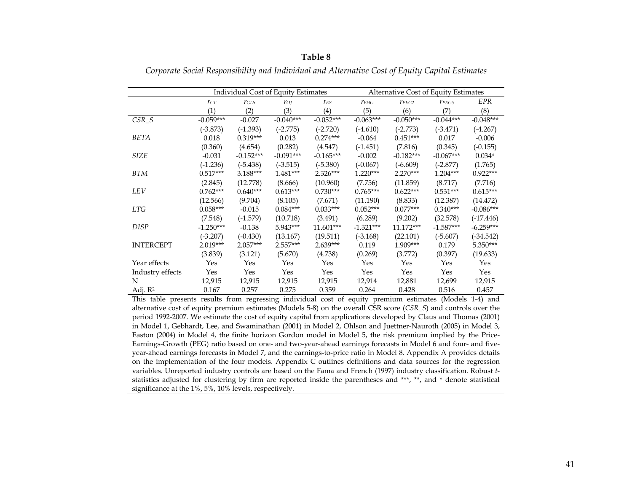|                     |             |             | Individual Cost of Equity Estimates |             |             | Alternative Cost of Equity Estimates |             |             |
|---------------------|-------------|-------------|-------------------------------------|-------------|-------------|--------------------------------------|-------------|-------------|
|                     | $r_{CT}$    | $r_{GLS}$   | $r_{OI}$                            | $r_{ES}$    | $r_{FHG}$   | $r_{PEG2}$                           | $r_{PEG5}$  | EPR         |
|                     | (1)         | (2)         | (3)                                 | (4)         | (5)         | (6)                                  | (7)         | (8)         |
| $CSR_S$             | $-0.059***$ | $-0.027$    | $-0.040***$                         | $-0.052***$ | $-0.063***$ | $-0.050***$                          | $-0.044***$ | $-0.048***$ |
|                     | $(-3.873)$  | $(-1.393)$  | $(-2.775)$                          | $(-2.720)$  | $(-4.610)$  | $(-2.773)$                           | $(-3.471)$  | $(-4.267)$  |
| BETA                | 0.018       | $0.319***$  | 0.013                               | $0.274***$  | $-0.064$    | $0.451***$                           | 0.017       | $-0.006$    |
|                     | (0.360)     | (4.654)     | (0.282)                             | (4.547)     | $(-1.451)$  | (7.816)                              | (0.345)     | $(-0.155)$  |
| <b>SIZE</b>         | $-0.031$    | $-0.152***$ | $-0.091***$                         | $-0.165***$ | $-0.002$    | $-0.182***$                          | $-0.067***$ | $0.034*$    |
|                     | $(-1.236)$  | $(-5.438)$  | $(-3.515)$                          | $(-5.380)$  | $(-0.067)$  | $(-6.609)$                           | $(-2.877)$  | (1.765)     |
| <b>BTM</b>          | $0.517***$  | 3.188***    | $1.481***$                          | $2.326***$  | $1.220***$  | $2.270***$                           | $1.204***$  | $0.922***$  |
|                     | (2.845)     | (12.778)    | (8.666)                             | (10.960)    | (7.756)     | (11.859)                             | (8.717)     | (7.716)     |
| LEV                 | $0.762***$  | $0.640***$  | $0.613***$                          | $0.730***$  | $0.765***$  | $0.622***$                           | $0.531***$  | $0.615***$  |
|                     | (12.566)    | (9.704)     | (8.105)                             | (7.671)     | (11.190)    | (8.833)                              | (12.387)    | (14.472)    |
| <b>LTG</b>          | $0.058***$  | $-0.015$    | $0.084***$                          | $0.033***$  | $0.052***$  | $0.077***$                           | $0.340***$  | $-0.086***$ |
|                     | (7.548)     | $(-1.579)$  | (10.718)                            | (3.491)     | (6.289)     | (9.202)                              | (32.578)    | $(-17.446)$ |
| <b>DISP</b>         | $-1.250***$ | $-0.138$    | $5.943***$                          | 11.601***   | $-1.321***$ | $11.172***$                          | $-1.587***$ | $-6.259***$ |
|                     | $(-3.207)$  | $(-0.430)$  | (13.167)                            | (19.511)    | $(-3.168)$  | (22.101)                             | $(-5.607)$  | $(-34.542)$ |
| <b>INTERCEPT</b>    | $2.019***$  | $2.057***$  | $2.557***$                          | $2.639***$  | 0.119       | $1.909***$                           | 0.179       | 5.350***    |
|                     | (3.839)     | (3.121)     | (5.670)                             | (4.738)     | (0.269)     | (3.772)                              | (0.397)     | (19.633)    |
| Year effects        | Yes         | Yes         | Yes                                 | Yes         | Yes         | Yes                                  | Yes         | Yes         |
| Industry effects    | Yes         | Yes         | Yes                                 | Yes         | Yes         | Yes                                  | Yes         | Yes         |
| N                   | 12,915      | 12,915      | 12,915                              | 12,915      | 12,914      | 12,881                               | 12,699      | 12,915      |
| Adj. R <sup>2</sup> | 0.167       | 0.257       | 0.275                               | 0.359       | 0.264       | 0.428                                | 0.516       | 0.457       |

*Corporate Social Responsibility and Individual and Alternative Cost of Equity Capital Estimates* 

This table presents results from regressing individual cost of equity premium estimates (Models 1-4) and alternative cost of equity premium estimates (Models 5-8) on the overall CSR score (*CSR\_S*) and controls over the period 1992-2007. We estimate the cost of equity capital from applications developed by Claus and Thomas (2001) in Model 1, Gebhardt, Lee, and Swaminathan (2001) in Model 2, Ohlson and Juettner-Nauroth (2005) in Model 3, Easton (2004) in Model 4, the finite horizon Gordon model in Model 5, the risk premium implied by the Price-Earnings-Growth (PEG) ratio based on one- and two-year-ahead earnings forecasts in Model 6 and four- and fiveyear-ahead earnings forecasts in Model 7, and the earnings-to-price ratio in Model 8. Appendix A provides details on the implementation of the four models. Appendix C outlines definitions and data sources for the regression variables. Unreported industry controls are based on the Fama and French (1997) industry classification. Robust *<sup>t</sup>*statistics adjusted for clustering by firm are reported inside the parentheses and \*\*\*, \*\*, and \* denote statistical significance at the 1%, 5%, 10% levels, respectively.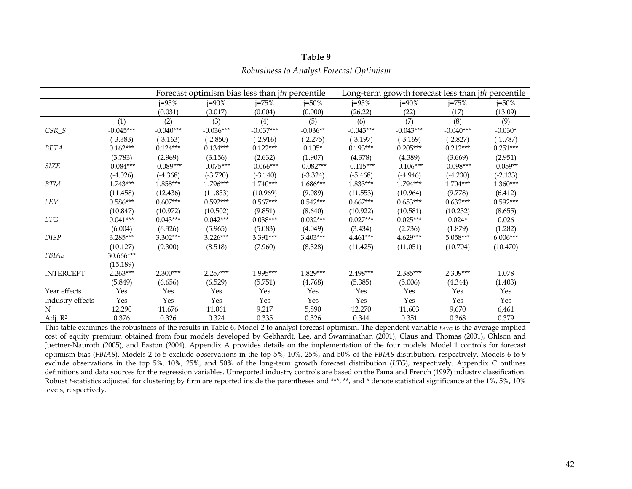|  |  |  | Robustness to Analyst Forecast Optimism |
|--|--|--|-----------------------------------------|
|  |  |  |                                         |

|                  |             |             |             | Forecast optimism bias less than <i>ith</i> percentile |             |             |             | Long-term growth forecast less than jth percentile |            |
|------------------|-------------|-------------|-------------|--------------------------------------------------------|-------------|-------------|-------------|----------------------------------------------------|------------|
|                  |             | $j = 95%$   | $j = 90\%$  | $j = 75%$                                              | $j = 50\%$  | $j = 95%$   | $j = 90\%$  | $j = 75%$                                          | $j = 50\%$ |
|                  |             | (0.031)     | (0.017)     | (0.004)                                                | (0.000)     | (26.22)     | (22)        | (17)                                               | (13.09)    |
|                  | (1)         | (2)         | (3)         | (4)                                                    | (5)         | (6)         | (7)         | (8)                                                | (9)        |
| $CSR_S$          | $-0.045***$ | $-0.040***$ | $-0.036***$ | $-0.037***$                                            | $-0.036**$  | $-0.043***$ | $-0.043***$ | $-0.040***$                                        | $-0.030*$  |
|                  | $(-3.383)$  | $(-3.163)$  | $(-2.850)$  | $(-2.916)$                                             | $(-2.275)$  | $(-3.197)$  | $(-3.169)$  | $(-2.827)$                                         | $(-1.787)$ |
| <b>BETA</b>      | $0.162***$  | $0.124***$  | $0.134***$  | $0.122***$                                             | $0.105*$    | $0.193***$  | $0.205***$  | $0.212***$                                         | $0.251***$ |
|                  | (3.783)     | (2.969)     | (3.156)     | (2.632)                                                | (1.907)     | (4.378)     | (4.389)     | (3.669)                                            | (2.951)    |
| SIZE             | $-0.084***$ | $-0.089***$ | $-0.075***$ | $-0.066***$                                            | $-0.082***$ | $-0.115***$ | $-0.106***$ | $-0.098***$                                        | $-0.059**$ |
|                  | $(-4.026)$  | $(-4.368)$  | $(-3.720)$  | $(-3.140)$                                             | $(-3.324)$  | $(-5.468)$  | $(-4.946)$  | $(-4.230)$                                         | $(-2.133)$ |
| <b>BTM</b>       | $1.743***$  | 1.858***    | 1.796***    | $1.740***$                                             | 1.686***    | $1.833***$  | $1.794***$  | $1.704***$                                         | $1.360***$ |
|                  | (11.458)    | (12.436)    | (11.853)    | (10.969)                                               | (9.089)     | (11.553)    | (10.964)    | (9.778)                                            | (6.412)    |
| LEV              | $0.586***$  | $0.607***$  | $0.592***$  | $0.567***$                                             | $0.542***$  | $0.667***$  | $0.653***$  | $0.632***$                                         | $0.592***$ |
|                  | (10.847)    | (10.972)    | (10.502)    | (9.851)                                                | (8.640)     | (10.922)    | (10.581)    | (10.232)                                           | (8.655)    |
| <b>LTG</b>       | $0.041***$  | $0.043***$  | $0.042***$  | $0.038***$                                             | $0.032***$  | $0.027***$  | $0.025***$  | $0.024*$                                           | 0.026      |
|                  | (6.004)     | (6.326)     | (5.965)     | (5.083)                                                | (4.049)     | (3.434)     | (2.736)     | (1.879)                                            | (1.282)    |
| <b>DISP</b>      | 3.285***    | $3.302***$  | $3.226***$  | 3.391***                                               | 3.403***    | $4.461***$  | $4.629***$  | $5.058***$                                         | $6.006***$ |
|                  | (10.127)    | (9.300)     | (8.518)     | (7.960)                                                | (8.328)     | (11.425)    | (11.051)    | (10.704)                                           | (10.470)   |
| <b>FBIAS</b>     | 30.666***   |             |             |                                                        |             |             |             |                                                    |            |
|                  | (15.189)    |             |             |                                                        |             |             |             |                                                    |            |
| <b>INTERCEPT</b> | $2.263***$  | $2.300***$  | $2.257***$  | 1.995***                                               | $1.829***$  | 2.498***    | $2.385***$  | $2.309***$                                         | 1.078      |
|                  | (5.849)     | (6.656)     | (6.529)     | (5.751)                                                | (4.768)     | (5.385)     | (5.006)     | (4.344)                                            | (1.403)    |
| Year effects     | Yes         | Yes         | Yes         | Yes                                                    | Yes         | Yes         | Yes         | Yes                                                | Yes        |
| Industry effects | Yes         | Yes         | Yes         | Yes                                                    | Yes         | Yes         | Yes         | Yes                                                | Yes        |
| N                | 12,290      | 11,676      | 11,061      | 9,217                                                  | 5,890       | 12,270      | 11,603      | 9,670                                              | 6,461      |
| Adj. $R^2$       | 0.376       | 0.326       | 0.324       | 0.335                                                  | 0.326       | 0.344       | 0.351       | 0.368                                              | 0.379      |

This table examines the robustness of the results in Table 6, Model 2 to analyst forecast optimism. The dependent variable *rAVG* is the average implied cost of equity premium obtained from four models developed by Gebhardt, Lee, and Swaminathan (2001), Claus and Thomas (2001), Ohlson and Juettner-Nauroth (2005), and Easton (2004). Appendix A provides details on the implementation of the four models. Model 1 controls for forecast optimism bias (*FBIAS*). Models 2 to 5 exclude observations in the top 5%, 10%, 25%, and 50% of the *FBIAS* distribution, respectively. Models 6 to 9 exclude observations in the top 5%, 10%, 25%, and 50% of the long-term growth forecast distribution (*LTG*), respectively. Appendix C outlines definitions and data sources for the regression variables. Unreported industry controls are based on the Fama and French (1997) industry classification. Robust *t*-statistics adjusted for clustering by firm are reported inside the parentheses and \*\*\*, \*\*, and \* denote statistical significance at the 1%, 5%, 10% levels, respectively.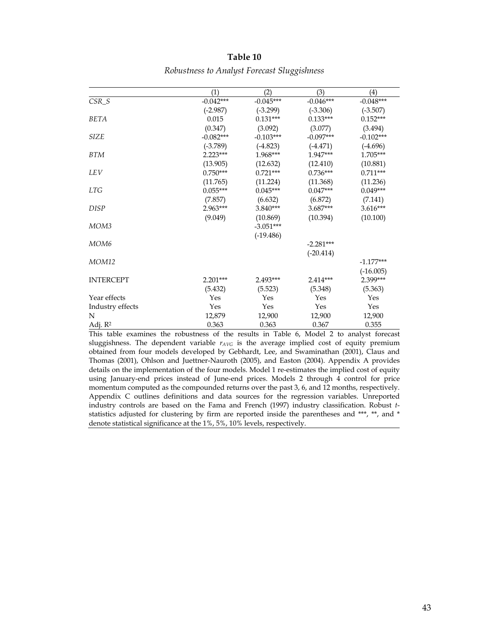|                     | (1)         | (2)         | (3)         | $\left( 4\right)$ |
|---------------------|-------------|-------------|-------------|-------------------|
| $CSR_S$             | $-0.042***$ | $-0.045***$ | $-0.046***$ | $-0.048***$       |
|                     | $(-2.987)$  | $(-3.299)$  | $(-3.306)$  | $(-3.507)$        |
| <b>BETA</b>         | 0.015       | $0.131***$  | $0.133***$  | $0.152***$        |
|                     | (0.347)     | (3.092)     | (3.077)     | (3.494)           |
| <b>SIZE</b>         | $-0.082***$ | $-0.103***$ | $-0.097***$ | $-0.102***$       |
|                     | $(-3.789)$  | $(-4.823)$  | $(-4.471)$  | $(-4.696)$        |
| <b>BTM</b>          | $2.223***$  | 1.968***    | 1.947***    | 1.705***          |
|                     | (13.905)    | (12.632)    | (12.410)    | (10.881)          |
| LEV                 | $0.750***$  | $0.721***$  | $0.736***$  | $0.711***$        |
|                     | (11.765)    | (11.224)    | (11.368)    | (11.236)          |
| <b>LTG</b>          | $0.055***$  | $0.045***$  | $0.047***$  | $0.049***$        |
|                     | (7.857)     | (6.632)     | (6.872)     | (7.141)           |
| <b>DISP</b>         | 2.963***    | $3.840***$  | $3.687***$  | 3.616***          |
|                     | (9.049)     | (10.869)    | (10.394)    | (10.100)          |
| MOM <sub>3</sub>    |             | $-3.051***$ |             |                   |
|                     |             | $(-19.486)$ |             |                   |
| MOM <sub>6</sub>    |             |             | $-2.281***$ |                   |
|                     |             |             | $(-20.414)$ |                   |
| <b>MOM12</b>        |             |             |             | $-1.177***$       |
|                     |             |             |             | $(-16.005)$       |
| <b>INTERCEPT</b>    | $2.201***$  | 2.493***    | $2.414***$  | 2.399***          |
|                     | (5.432)     | (5.523)     | (5.348)     | (5.363)           |
| Year effects        | Yes         | Yes         | Yes         | Yes               |
| Industry effects    | Yes         | Yes         | Yes         | Yes               |
| N                   | 12,879      | 12,900      | 12,900      | 12,900            |
| Adj. R <sup>2</sup> | 0.363       | 0.363       | 0.367       | 0.355             |

*Robustness to Analyst Forecast Sluggishness* 

This table examines the robustness of the results in Table 6, Model 2 to analyst forecast sluggishness. The dependent variable  $r_{AVG}$  is the average implied cost of equity premium obtained from four models developed by Gebhardt, Lee, and Swaminathan (2001), Claus and Thomas (2001), Ohlson and Juettner-Nauroth (2005), and Easton (2004). Appendix A provides details on the implementation of the four models. Model 1 re-estimates the implied cost of equity using January-end prices instead of June-end prices. Models 2 through 4 control for price momentum computed as the compounded returns over the past 3, 6, and 12 months, respectively. Appendix C outlines definitions and data sources for the regression variables. Unreported industry controls are based on the Fama and French (1997) industry classification. Robust *t*statistics adjusted for clustering by firm are reported inside the parentheses and \*\*\*, \*\*, and \* denote statistical significance at the 1%, 5%, 10% levels, respectively.